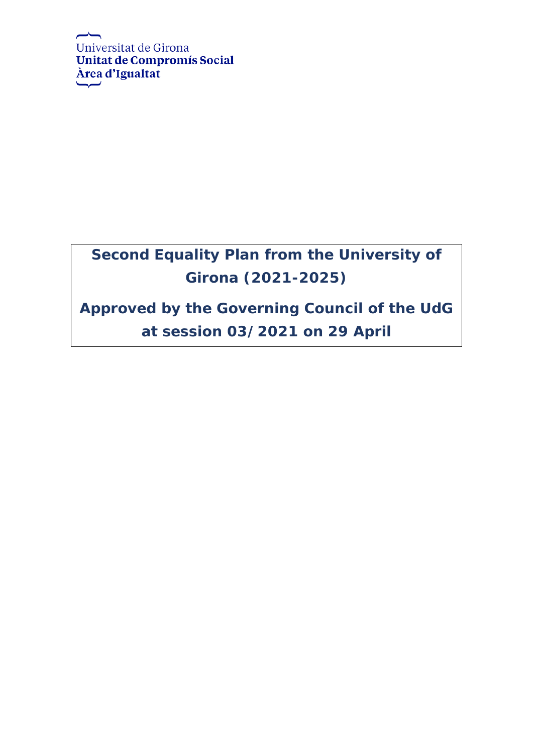

## **Second Equality Plan from the University of Girona (2021-2025)**

## **Approved by the Governing Council of the UdG at session 03/2021 on 29 April**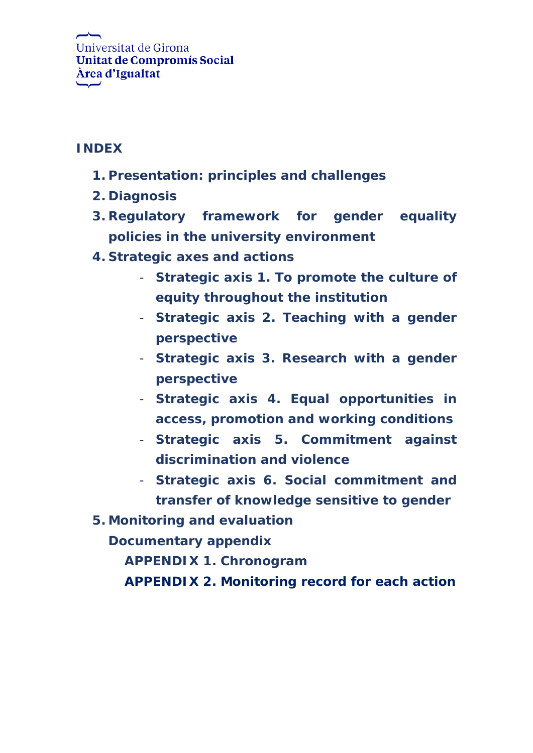### **INDEX**

- **1. Presentation: principles and challenges**
- **2. Diagnosis**
- **3. Regulatory framework for gender equality policies in the university environment**
- **4. Strategic axes and actions**
	- **Strategic axis 1. To promote the culture of equity throughout the institution**
	- **Strategic axis 2. Teaching with a gender perspective**
	- **Strategic axis 3. Research with a gender perspective**
	- **Strategic axis 4. Equal opportunities in access, promotion and working conditions**
	- **Strategic axis 5. Commitment against discrimination and violence**
	- **Strategic axis 6. Social commitment and transfer of knowledge sensitive to gender**
- **5. Monitoring and evaluation**

**Documentary appendix**

**APPENDIX 1. Chronogram**

**APPENDIX 2. Monitoring record for each action**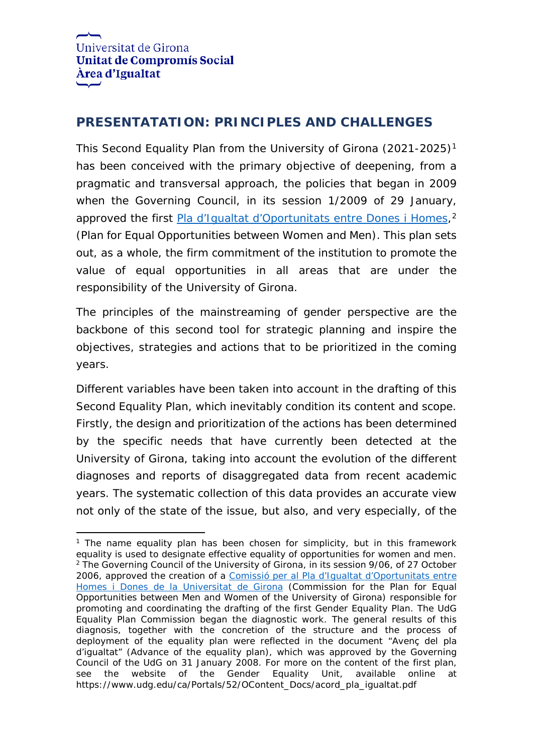$\overline{a}$ 

#### **PRESENTATATION: PRINCIPLES AND CHALLENGES**

This Second Equality Plan from the University of Girona (2021-2025)[1](#page-2-0) has been conceived with the primary objective of deepening, from a pragmatic and transversal approach, the policies that began in 2009 when the Governing Council, in its session 1/2009 of 29 January, approved the first [Pla d'Igualtat d'Oportunitats entre Dones i Homes,](https://www.udg.edu/ca/Portals/52/OContent_Docs/acord_pla_igualtat.pdf)<sup>[2](#page-2-1)</sup> (Plan for Equal Opportunities between Women and Men). This plan sets out, as a whole, the firm commitment of the institution to promote the value of equal opportunities in all areas that are under the responsibility of the University of Girona.

The principles of the mainstreaming of gender perspective are the backbone of this second tool for strategic planning and inspire the objectives, strategies and actions that to be prioritized in the coming years.

Different variables have been taken into account in the drafting of this Second Equality Plan, which inevitably condition its content and scope. Firstly, the design and prioritization of the actions has been determined by the specific needs that have currently been detected at the University of Girona, taking into account the evolution of the different diagnoses and reports of disaggregated data from recent academic years. The systematic collection of this data provides an accurate view not only of the state of the issue, but also, and very especially, of the

<span id="page-2-1"></span><span id="page-2-0"></span><sup>1</sup> The name *equality plan* has been chosen for simplicity, but in this framework equality is used to designate effective equality of opportunities for women and men.  $2$  The Governing Council of the University of Girona, in its session 9/06, of 27 October 2006, approved the creation of a Comissió per al Pla d'Iqualtat d'Oportunitats entre [Homes i Dones de la Universitat de Girona](https://www.udg.edu/ca/Portals/52/OContent_Docs/annex2_creacio_comissio_pla_igualtat.pdf) (Commission for the Plan for Equal Opportunities between Men and Women of the University of Girona) responsible for promoting and coordinating the drafting of the first Gender Equality Plan. The UdG Equality Plan Commission began the diagnostic work. The general results of this diagnosis, together with the concretion of the structure and the process of deployment of the equality plan were reflected in the document "Avenç del pla d'igualtat" (Advance of the equality plan), which was approved by the Governing Council of the UdG on 31 January 2008. For more on the content of the first plan, see the website of the Gender Equality Unit, available online at https://www.udg.edu/ca/Portals/52/OContent\_Docs/acord\_pla\_igualtat.pdf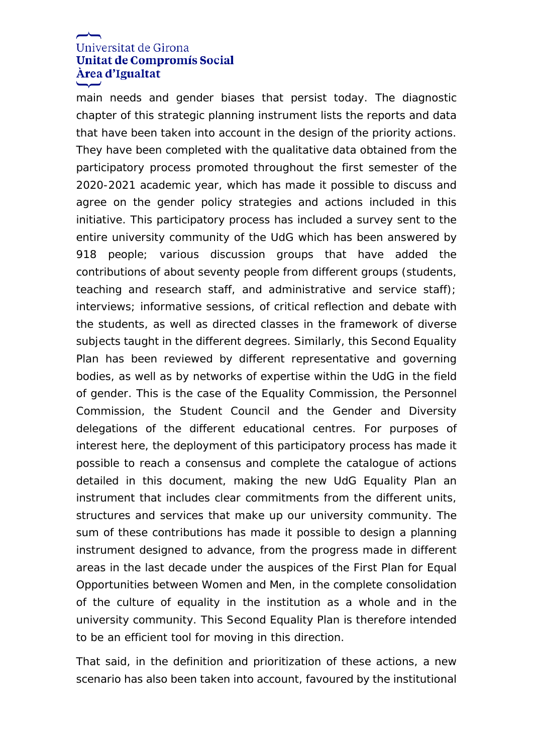main needs and gender biases that persist today. The diagnostic chapter of this strategic planning instrument lists the reports and data that have been taken into account in the design of the priority actions. They have been completed with the qualitative data obtained from the participatory process promoted throughout the first semester of the 2020-2021 academic year, which has made it possible to discuss and agree on the gender policy strategies and actions included in this initiative. This participatory process has included a survey sent to the entire university community of the UdG which has been answered by 918 people; various discussion groups that have added the contributions of about seventy people from different groups (students, teaching and research staff, and administrative and service staff); interviews; informative sessions, of critical reflection and debate with the students, as well as directed classes in the framework of diverse subjects taught in the different degrees. Similarly, this Second Equality Plan has been reviewed by different representative and governing bodies, as well as by networks of expertise within the UdG in the field of gender. This is the case of the Equality Commission, the Personnel Commission, the Student Council and the Gender and Diversity delegations of the different educational centres. For purposes of interest here, the deployment of this participatory process has made it possible to reach a consensus and complete the catalogue of actions detailed in this document, making the new UdG Equality Plan an instrument that includes clear commitments from the different units, structures and services that make up our university community. The sum of these contributions has made it possible to design a planning instrument designed to advance, from the progress made in different areas in the last decade under the auspices of the First Plan for Equal Opportunities between Women and Men, in the complete consolidation of the culture of equality in the institution as a whole and in the university community. This Second Equality Plan is therefore intended to be an efficient tool for moving in this direction.

That said, in the definition and prioritization of these actions, a new scenario has also been taken into account, favoured by the institutional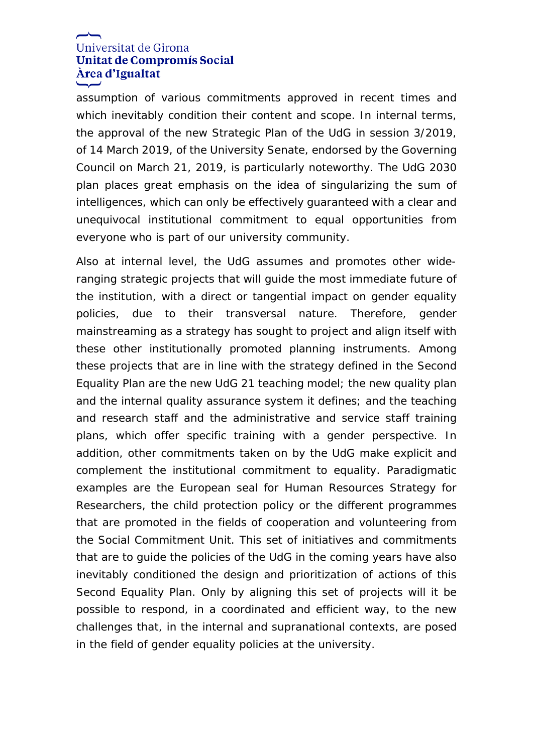assumption of various commitments approved in recent times and which inevitably condition their content and scope. In internal terms, the approval of the new Strategic Plan of the UdG in session 3/2019, of 14 March 2019, of the University Senate, endorsed by the Governing Council on March 21, 2019, is particularly noteworthy. The UdG 2030 plan places great emphasis on the idea of singularizing the sum of intelligences, which can only be effectively guaranteed with a clear and unequivocal institutional commitment to equal opportunities from everyone who is part of our university community.

Also at internal level, the UdG assumes and promotes other wideranging strategic projects that will guide the most immediate future of the institution, with a direct or tangential impact on gender equality policies, due to their transversal nature. Therefore, gender mainstreaming as a strategy has sought to project and align itself with these other institutionally promoted planning instruments. Among these projects that are in line with the strategy defined in the Second Equality Plan are the new UdG 21 teaching model; the new quality plan and the internal quality assurance system it defines; and the teaching and research staff and the administrative and service staff training plans, which offer specific training with a gender perspective. In addition, other commitments taken on by the UdG make explicit and complement the institutional commitment to equality. Paradigmatic examples are the European seal for Human Resources Strategy for Researchers, the child protection policy or the different programmes that are promoted in the fields of cooperation and volunteering from the Social Commitment Unit. This set of initiatives and commitments that are to guide the policies of the UdG in the coming years have also inevitably conditioned the design and prioritization of actions of this Second Equality Plan. Only by aligning this set of projects will it be possible to respond, in a coordinated and efficient way, to the new challenges that, in the internal and supranational contexts, are posed in the field of gender equality policies at the university.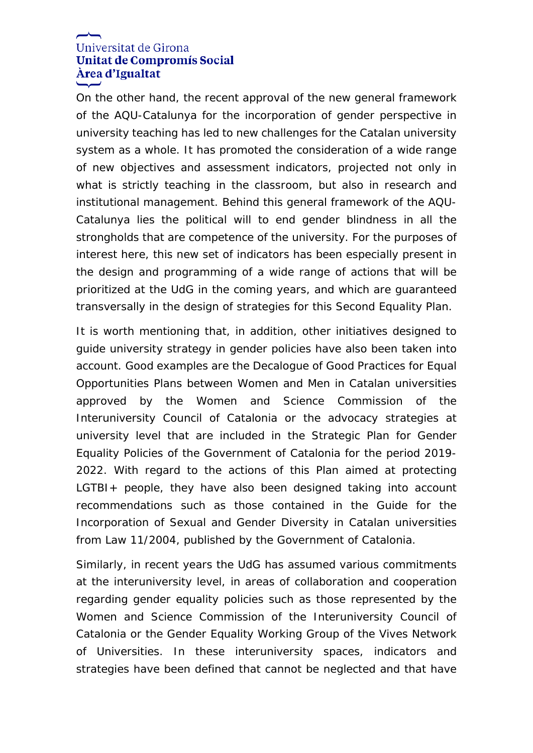On the other hand, the recent approval of the new general framework of the AQU-Catalunya for the incorporation of gender perspective in university teaching has led to new challenges for the Catalan university system as a whole. It has promoted the consideration of a wide range of new objectives and assessment indicators, projected not only in what is strictly teaching in the classroom, but also in research and institutional management. Behind this general framework of the AQU-Catalunya lies the political will to end gender blindness in all the strongholds that are competence of the university. For the purposes of interest here, this new set of indicators has been especially present in the design and programming of a wide range of actions that will be prioritized at the UdG in the coming years, and which are guaranteed transversally in the design of strategies for this Second Equality Plan.

It is worth mentioning that, in addition, other initiatives designed to guide university strategy in gender policies have also been taken into account. Good examples are the Decalogue of Good Practices for Equal Opportunities Plans between Women and Men in Catalan universities approved by the Women and Science Commission of the Interuniversity Council of Catalonia or the advocacy strategies at university level that are included in the Strategic Plan for Gender Equality Policies of the Government of Catalonia for the period 2019- 2022. With regard to the actions of this Plan aimed at protecting LGTBI+ people, they have also been designed taking into account recommendations such as those contained in the Guide for the Incorporation of Sexual and Gender Diversity in Catalan universities from Law 11/2004, published by the Government of Catalonia.

Similarly, in recent years the UdG has assumed various commitments at the interuniversity level, in areas of collaboration and cooperation regarding gender equality policies such as those represented by the Women and Science Commission of the Interuniversity Council of Catalonia or the Gender Equality Working Group of the Vives Network of Universities. In these interuniversity spaces, indicators and strategies have been defined that cannot be neglected and that have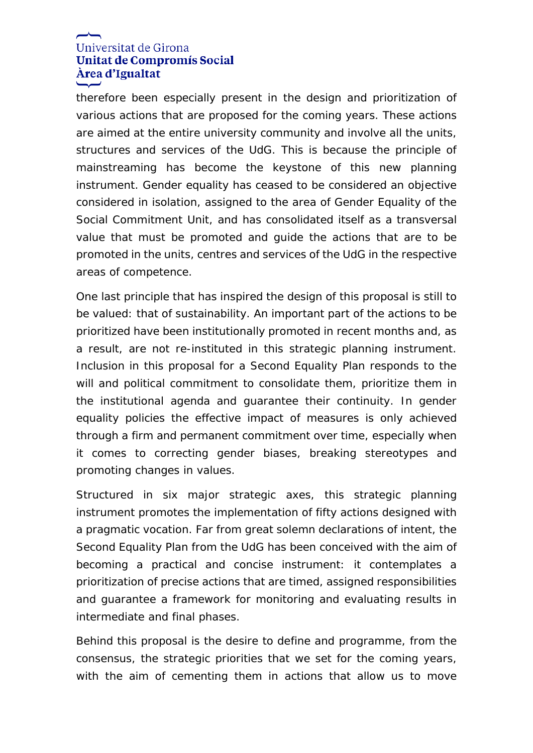therefore been especially present in the design and prioritization of various actions that are proposed for the coming years. These actions are aimed at the entire university community and involve all the units, structures and services of the UdG. This is because the principle of mainstreaming has become the keystone of this new planning instrument. Gender equality has ceased to be considered an objective considered in isolation, assigned to the area of Gender Equality of the Social Commitment Unit, and has consolidated itself as a transversal value that must be promoted and guide the actions that are to be promoted in the units, centres and services of the UdG in the respective areas of competence.

One last principle that has inspired the design of this proposal is still to be valued: that of sustainability. An important part of the actions to be prioritized have been institutionally promoted in recent months and, as a result, are not re-instituted in this strategic planning instrument. Inclusion in this proposal for a Second Equality Plan responds to the will and political commitment to consolidate them, prioritize them in the institutional agenda and guarantee their continuity. In gender equality policies the effective impact of measures is only achieved through a firm and permanent commitment over time, especially when it comes to correcting gender biases, breaking stereotypes and promoting changes in values.

Structured in six major strategic axes, this strategic planning instrument promotes the implementation of fifty actions designed with a pragmatic vocation. Far from great solemn declarations of intent, the Second Equality Plan from the UdG has been conceived with the aim of becoming a practical and concise instrument: it contemplates a prioritization of precise actions that are timed, assigned responsibilities and guarantee a framework for monitoring and evaluating results in intermediate and final phases.

Behind this proposal is the desire to define and programme, from the consensus, the strategic priorities that we set for the coming years, with the aim of cementing them in actions that allow us to move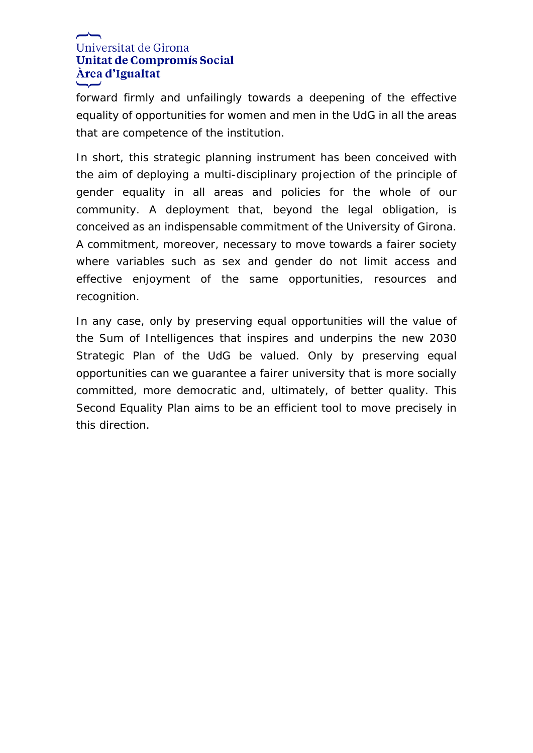forward firmly and unfailingly towards a deepening of the effective equality of opportunities for women and men in the UdG in all the areas that are competence of the institution.

In short, this strategic planning instrument has been conceived with the aim of deploying a multi-disciplinary projection of the principle of gender equality in all areas and policies for the whole of our community. A deployment that, beyond the legal obligation, is conceived as an indispensable commitment of the University of Girona. A commitment, moreover, necessary to move towards a fairer society where variables such as sex and gender do not limit access and effective enjoyment of the same opportunities, resources and recognition.

In any case, only by preserving equal opportunities will the value of the Sum of Intelligences that inspires and underpins the new 2030 Strategic Plan of the UdG be valued. Only by preserving equal opportunities can we guarantee a fairer university that is more socially committed, more democratic and, ultimately, of better quality. This Second Equality Plan aims to be an efficient tool to move precisely in this direction.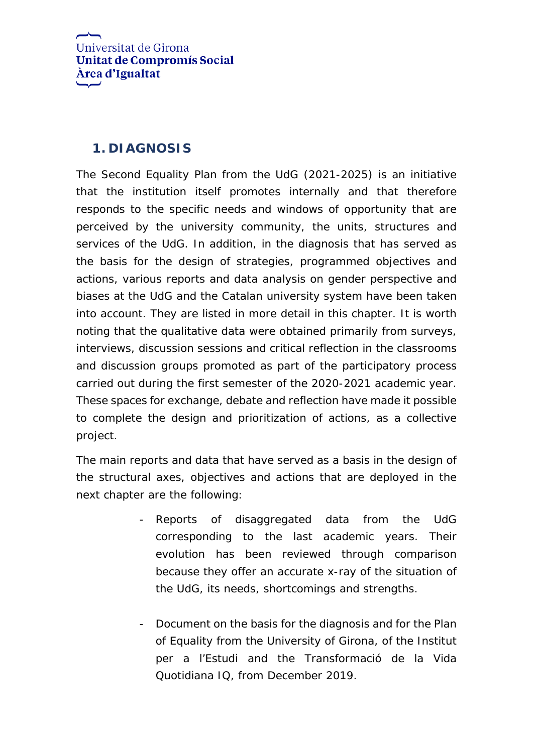#### **1. DIAGNOSIS**

The Second Equality Plan from the UdG (2021-2025) is an initiative that the institution itself promotes internally and that therefore responds to the specific needs and windows of opportunity that are perceived by the university community, the units, structures and services of the UdG. In addition, in the diagnosis that has served as the basis for the design of strategies, programmed objectives and actions, various reports and data analysis on gender perspective and biases at the UdG and the Catalan university system have been taken into account. They are listed in more detail in this chapter. It is worth noting that the qualitative data were obtained primarily from surveys, interviews, discussion sessions and critical reflection in the classrooms and discussion groups promoted as part of the participatory process carried out during the first semester of the 2020-2021 academic year. These spaces for exchange, debate and reflection have made it possible to complete the design and prioritization of actions, as a collective project.

The main reports and data that have served as a basis in the design of the structural axes, objectives and actions that are deployed in the next chapter are the following:

- Reports of disaggregated data from the UdG corresponding to the last academic years. Their evolution has been reviewed through comparison because they offer an accurate x-ray of the situation of the UdG, its needs, shortcomings and strengths.
- Document on the basis for the diagnosis and for the Plan of Equality from the University of Girona, of the *Institut per a l'Estudi* and the *Transformació de la Vida Quotidiana IQ*, from December 2019.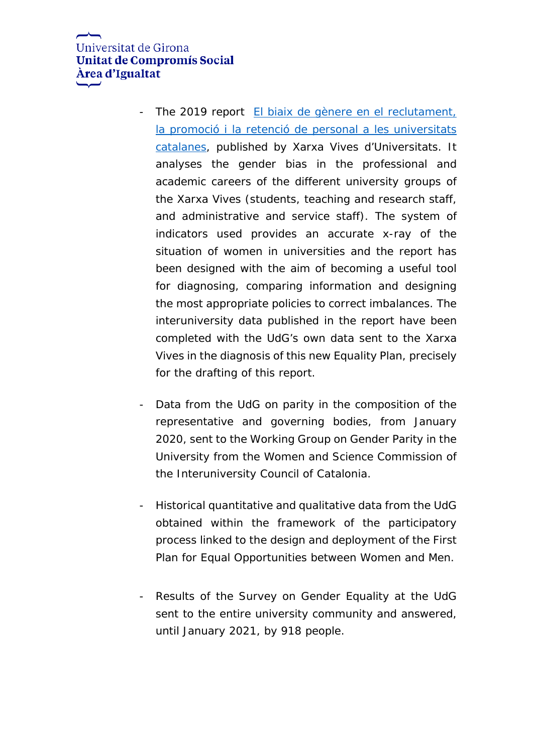- The 2019 report *[El biaix de gènere en el reclutament,](https://www.vives.org/book/el-biaix-de-genere-en-el-reclutament-la-promocio-i-la-retencio-del-personal-a-les-universitats-informe-2019/)  [la promoció i la retenció de personal a les universitats](https://www.vives.org/book/el-biaix-de-genere-en-el-reclutament-la-promocio-i-la-retencio-del-personal-a-les-universitats-informe-2019/)  [catalanes](https://www.vives.org/book/el-biaix-de-genere-en-el-reclutament-la-promocio-i-la-retencio-del-personal-a-les-universitats-informe-2019/)*, published by Xarxa Vives d'Universitats. It analyses the gender bias in the professional and academic careers of the different university groups of the Xarxa Vives (students, teaching and research staff, and administrative and service staff). The system of indicators used provides an accurate x-ray of the situation of women in universities and the report has been designed with the aim of becoming a useful tool for diagnosing, comparing information and designing the most appropriate policies to correct imbalances. The interuniversity data published in the report have been completed with the UdG's own data sent to the Xarxa Vives in the diagnosis of this new Equality Plan, precisely for the drafting of this report.
- Data from the UdG on parity in the composition of the representative and governing bodies, from January 2020, sent to the Working Group on Gender Parity in the University from the Women and Science Commission of the Interuniversity Council of Catalonia.
- Historical quantitative and qualitative data from the UdG obtained within the framework of the participatory process linked to the design and deployment of the First Plan for Equal Opportunities between Women and Men.
- Results of the Survey on Gender Equality at the UdG sent to the entire university community and answered, until January 2021, by 918 people.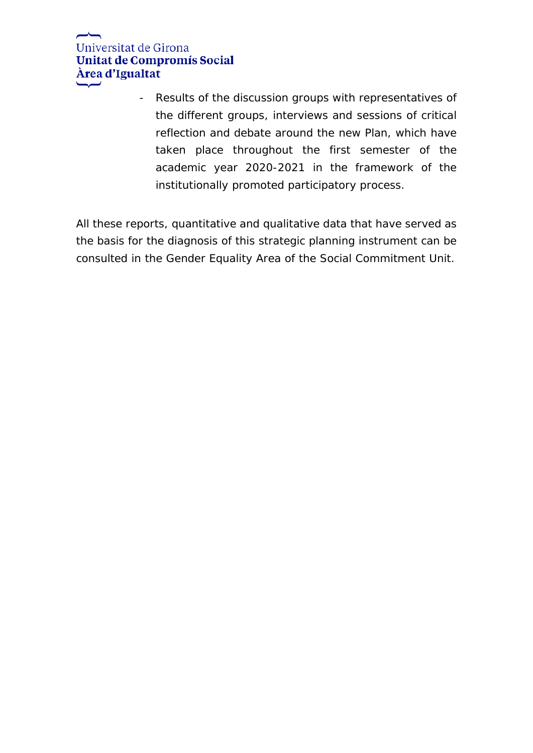- Results of the discussion groups with representatives of the different groups, interviews and sessions of critical reflection and debate around the new Plan, which have taken place throughout the first semester of the academic year 2020-2021 in the framework of the institutionally promoted participatory process.

All these reports, quantitative and qualitative data that have served as the basis for the diagnosis of this strategic planning instrument can be consulted in the Gender Equality Area of the Social Commitment Unit.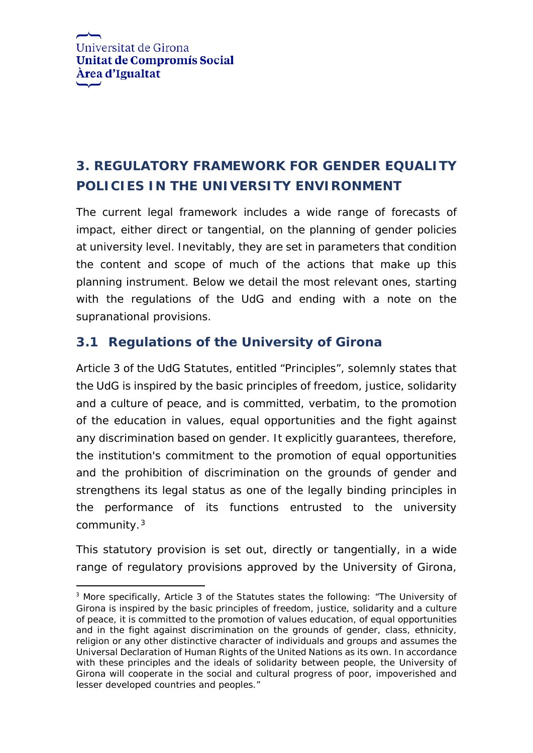## **3. REGULATORY FRAMEWORK FOR GENDER EQUALITY POLICIES IN THE UNIVERSITY ENVIRONMENT**

The current legal framework includes a wide range of forecasts of impact, either direct or tangential, on the planning of gender policies at university level. Inevitably, they are set in parameters that condition the content and scope of much of the actions that make up this planning instrument. Below we detail the most relevant ones, starting with the regulations of the UdG and ending with a note on the supranational provisions.

### **3.1 Regulations of the University of Girona**

Article 3 of the UdG Statutes, entitled "Principles", solemnly states that the UdG is inspired by the basic principles of freedom, justice, solidarity and a culture of peace, and is committed, verbatim, to the promotion of the education in values, equal opportunities and the fight against any discrimination based on gender. It explicitly guarantees, therefore, the institution's commitment to the promotion of equal opportunities and the prohibition of discrimination on the grounds of gender and strengthens its legal status as one of the legally binding principles in the performance of its functions entrusted to the university community.[3](#page-11-0)

This statutory provision is set out, directly or tangentially, in a wide range of regulatory provisions approved by the University of Girona,

<span id="page-11-0"></span><sup>&</sup>lt;sup>3</sup> More specifically, Article 3 of the Statutes states the following: "The University of Girona is inspired by the basic principles of freedom, justice, solidarity and a culture of peace, it is committed to the promotion of values education, of equal opportunities and in the fight against discrimination on the grounds of gender, class, ethnicity, religion or any other distinctive character of individuals and groups and assumes the Universal Declaration of Human Rights of the United Nations as its own. In accordance with these principles and the ideals of solidarity between people, the University of Girona will cooperate in the social and cultural progress of poor, impoverished and lesser developed countries and peoples."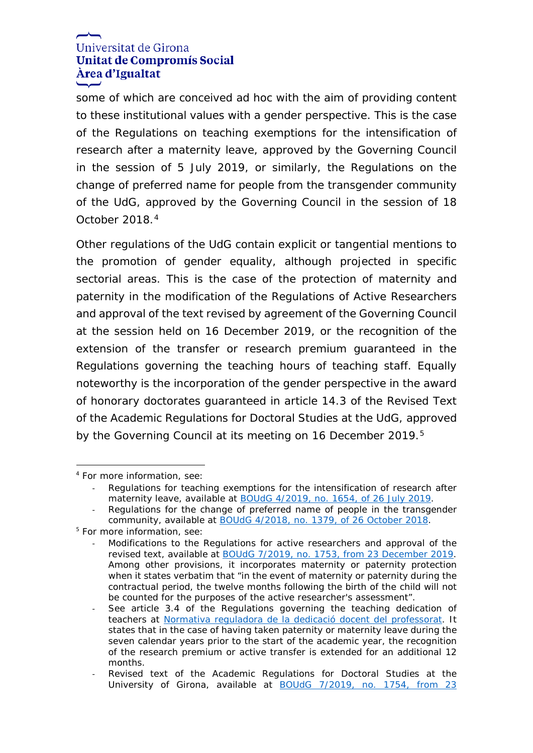some of which are conceived *ad hoc* with the aim of providing content to these institutional values with a gender perspective. This is the case of the Regulations on teaching exemptions for the intensification of research after a maternity leave, approved by the Governing Council in the session of 5 July 2019, or similarly, the Regulations on the change of preferred name for people from the transgender community of the UdG, approved by the Governing Council in the session of 18 October 2018.<sup>[4](#page-12-0)</sup>

Other regulations of the UdG contain explicit or tangential mentions to the promotion of gender equality, although projected in specific sectorial areas. This is the case of the protection of maternity and paternity in the modification of the Regulations of Active Researchers and approval of the text revised by agreement of the Governing Council at the session held on 16 December 2019, or the recognition of the extension of the transfer or research premium guaranteed in the Regulations governing the teaching hours of teaching staff. Equally noteworthy is the incorporation of the gender perspective in the award of honorary doctorates guaranteed in article 14.3 of the Revised Text of the Academic Regulations for Doctoral Studies at the UdG, approved by the Governing Council at its meeting on 16 December 2019.<sup>[5](#page-12-1)</sup>

<span id="page-12-0"></span> <sup>4</sup> For more information, see:

Regulations for teaching exemptions for the intensification of research after maternity leave, available at [BOUdG 4/2019, no. 1654, of](https://seu.udg.edu/ca-es/serveis-dinformacio/boudg/ebou/disposicio/1654?&_ga=2.245723140.1816764028.1591118189-844728285.1559712348) 26 July 2019.

Regulations for the change of preferred name of people in the transgender community, available at [BOUdG 4/2018, no. 1379, of](https://seu.udg.edu/ca-es/serveis-dinformacio/boudg/ebou/disposicio/1379) 26 October 2018.

<span id="page-12-1"></span><sup>5</sup> For more information, see:

<sup>-</sup> Modifications to the Regulations for active researchers and approval of the revised text, available at [BOUdG 7/2019, no. 1753, from](https://seu.udg.edu/ca-es/serveis-dinformacio/boudg/ebou/disposicio/1753) 23 December 2019. Among other provisions, it incorporates maternity or paternity protection when it states verbatim that "in the event of maternity or paternity during the contractual period, the twelve months following the birth of the child will not be counted for the purposes of the active researcher's assessment".

See article 3.4 of the Regulations governing the teaching dedication of teachers at [Normativa reguladora de la dedicació docent del professorat.](https://static2.udg.edu/uploads/bou/2387/eBOU-1922_ACORD_CdG_2_2020_Normativa_reguladora_dedicacio%CC%81_docent_CdG_revisada.pdf?_ga=2.19338424.1816764028.1591118189-844728285.1559712348) It states that in the case of having taken paternity or maternity leave during the seven calendar years prior to the start of the academic year, the recognition of the research premium or active transfer is extended for an additional 12 months.

Revised text of the Academic Regulations for Doctoral Studies at the University of Girona, available at [BOUdG 7/2019, no. 1754, from](https://seu.udg.edu/ca-es/serveis-dinformacio/boudg/ebou/disposicio/1754) 23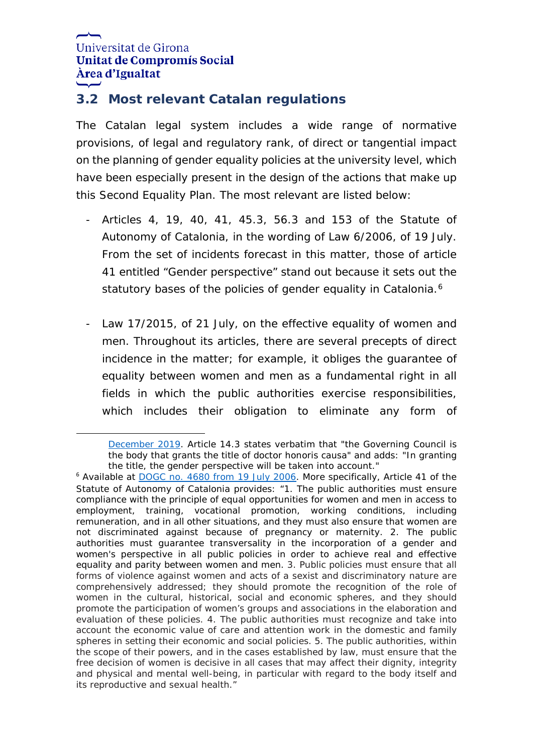**.** 

### **3.2 Most relevant Catalan regulations**

The Catalan legal system includes a wide range of normative provisions, of legal and regulatory rank, of direct or tangential impact on the planning of gender equality policies at the university level, which have been especially present in the design of the actions that make up this Second Equality Plan. The most relevant are listed below:

- Articles 4, 19, 40, 41, 45.3, 56.3 and 153 of the Statute of Autonomy of Catalonia, in the wording of Law 6/2006, of 19 July. From the set of incidents forecast in this matter, those of article 41 entitled "Gender perspective" stand out because it sets out the statutory bases of the policies of gender equality in Catalonia.<sup>[6](#page-13-0)</sup>
- Law 17/2015, of 21 July, on the effective equality of women and men. Throughout its articles, there are several precepts of direct incidence in the matter; for example, it obliges the guarantee of equality between women and men as a fundamental right in all fields in which the public authorities exercise responsibilities, which includes their obligation to eliminate any form of

[December](https://seu.udg.edu/ca-es/serveis-dinformacio/boudg/ebou/disposicio/1754) 2019. Article 14.3 states verbatim that "the Governing Council is the body that grants the title of doctor honoris causa" and adds: "In granting the title, the gender perspective will be taken into account."

<span id="page-13-0"></span><sup>&</sup>lt;sup>6</sup> Available at **[DOGC no. 4680 from](https://dogc.gencat.cat/ca/pdogc_canals_interns/pdogc_resultats_fitxa/?action=fitxa&documentId=401680) 19 July 2006**. More specifically, Article 41 of the Statute of Autonomy of Catalonia provides: "1. The public authorities must ensure compliance with the principle of equal opportunities for women and men in access to employment, training, vocational promotion, working conditions, including remuneration, and in all other situations, and they must also ensure that women are not discriminated against because of pregnancy or maternity. 2. The public authorities must guarantee transversality in the incorporation of a gender and women's perspective in all public policies in order to achieve real and effective equality and parity between women and men. 3. Public policies must ensure that all forms of violence against women and acts of a sexist and discriminatory nature are comprehensively addressed; they should promote the recognition of the role of women in the cultural, historical, social and economic spheres, and they should promote the participation of women's groups and associations in the elaboration and evaluation of these policies. 4. The public authorities must recognize and take into account the economic value of care and attention work in the domestic and family spheres in setting their economic and social policies. 5. The public authorities, within the scope of their powers, and in the cases established by law, must ensure that the free decision of women is decisive in all cases that may affect their dignity, integrity and physical and mental well-being, in particular with regard to the body itself and its reproductive and sexual health."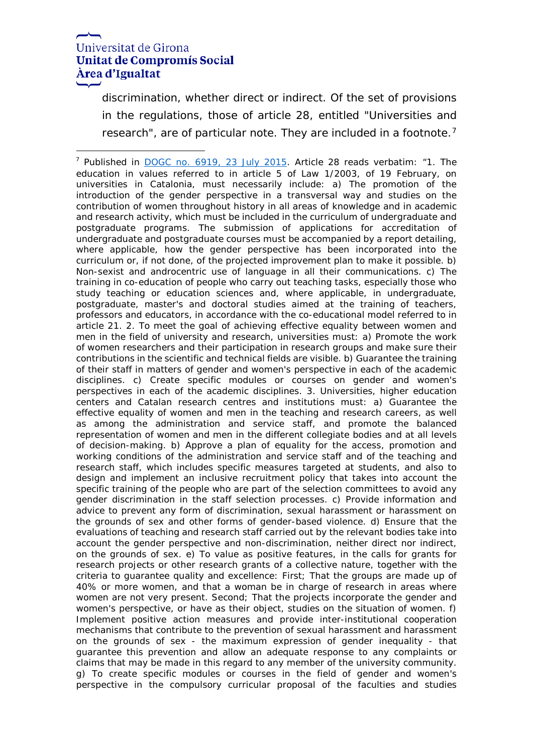discrimination, whether direct or indirect. Of the set of provisions in the regulations, those of article 28, entitled "Universities and research", are of particular note. They are included in a footnote.<sup>[7](#page-14-0)</sup>

<span id="page-14-0"></span> <sup>7</sup> Published in [DOGC no. 6919, 23 July](https://dogc.gencat.cat/ca/pdogc_canals_interns/pdogc_resultats_fitxa/?action=fitxa&documentId=698967) 2015. Article 28 reads verbatim: "1. The education in values referred to in article 5 of Law 1/2003, of 19 February, on universities in Catalonia, must necessarily include: a) The promotion of the introduction of the gender perspective in a transversal way and studies on the contribution of women throughout history in all areas of knowledge and in academic and research activity, which must be included in the curriculum of undergraduate and postgraduate programs. The submission of applications for accreditation of undergraduate and postgraduate courses must be accompanied by a report detailing, where applicable, how the gender perspective has been incorporated into the curriculum or, if not done, of the projected improvement plan to make it possible. *b*) Non-sexist and androcentric use of language in all their communications. c) The training in co-education of people who carry out teaching tasks, especially those who study teaching or education sciences and, where applicable, in undergraduate, postgraduate, master's and doctoral studies aimed at the training of teachers, professors and educators, in accordance with the co-educational model referred to in article 21. 2. To meet the goal of achieving effective equality between women and men in the field of university and research, universities must: a) Promote the work of women researchers and their participation in research groups and make sure their contributions in the scientific and technical fields are visible. b) Guarantee the training of their staff in matters of gender and women's perspective in each of the academic disciplines. c) Create specific modules or courses on gender and women's perspectives in each of the academic disciplines. 3. Universities, higher education centers and Catalan research centres and institutions must: a) Guarantee the effective equality of women and men in the teaching and research careers, as well as among the administration and service staff, and promote the balanced representation of women and men in the different collegiate bodies and at all levels of decision-making. b) Approve a plan of equality for the access, promotion and working conditions of the administration and service staff and of the teaching and research staff, which includes specific measures targeted at students, and also to design and implement an inclusive recruitment policy that takes into account the specific training of the people who are part of the selection committees to avoid any gender discrimination in the staff selection processes. *c*) Provide information and advice to prevent any form of discrimination, sexual harassment or harassment on the grounds of sex and other forms of gender-based violence. d) Ensure that the evaluations of teaching and research staff carried out by the relevant bodies take into account the gender perspective and non-discrimination, neither direct nor indirect, on the grounds of sex. e) To value as positive features, in the calls for grants for research projects or other research grants of a collective nature, together with the criteria to guarantee quality and excellence: First; That the groups are made up of 40% or more women, and that a woman be in charge of research in areas where women are not very present. Second; That the projects incorporate the gender and women's perspective, or have as their object, studies on the situation of women. *f*) Implement positive action measures and provide inter-institutional cooperation mechanisms that contribute to the prevention of sexual harassment and harassment on the grounds of sex - the maximum expression of gender inequality - that guarantee this prevention and allow an adequate response to any complaints or claims that may be made in this regard to any member of the university community. g) To create specific modules or courses in the field of gender and women's perspective in the compulsory curricular proposal of the faculties and studies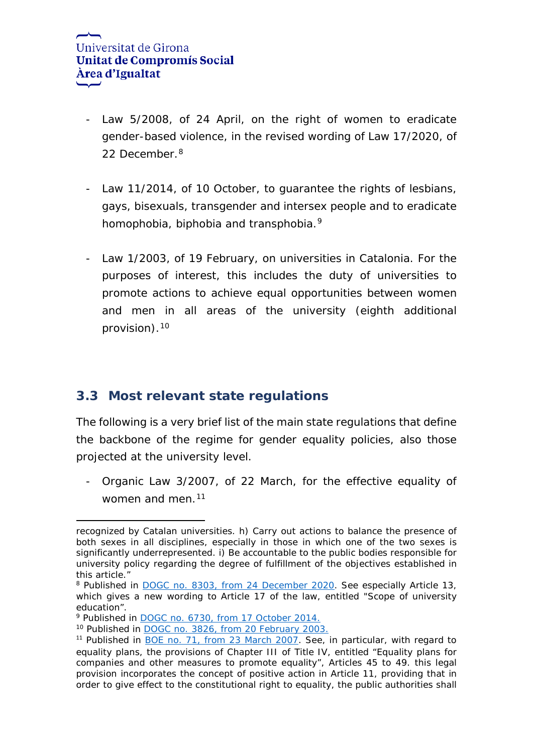- Law 5/2008, of 24 April, on the right of women to eradicate gender-based violence, in the revised wording of Law 17/2020, of 22 December [8](#page-15-0)
- Law 11/2014, of 10 October, to guarantee the rights of lesbians, gays, bisexuals, transgender and intersex people and to eradicate homophobia, biphobia and transphobia.<sup>[9](#page-15-1)</sup>
- Law 1/2003, of 19 February, on universities in Catalonia. For the purposes of interest, this includes the duty of universities to promote actions to achieve equal opportunities between women and men in all areas of the university (eighth additional provision).[10](#page-15-2)

### **3.3 Most relevant state regulations**

The following is a very brief list of the main state regulations that define the backbone of the regime for gender equality policies, also those projected at the university level.

- Organic Law 3/2007, of 22 March, for the effective equality of women and men.<sup>[11](#page-15-3)</sup>

 $\overline{a}$ 

recognized by Catalan universities. h) Carry out actions to balance the presence of both sexes in all disciplines, especially in those in which one of the two sexes is significantly underrepresented. i) Be accountable to the public bodies responsible for university policy regarding the degree of fulfillment of the objectives established in this article."

<span id="page-15-0"></span><sup>8</sup> Published in DOGC no. 8303, [from 24 December](https://dogc.gencat.cat/ca/document-del-dogc/?documentId=889760) 2020. See especially Article 13, which gives a new wording to Article 17 of the law, entitled "Scope of university education".

<span id="page-15-1"></span><sup>&</sup>lt;sup>9</sup> Published in **[DOGC no. 6730,](https://dogc.gencat.cat/ca/pdogc_canals_interns/pdogc_resultats_fitxa/?action=fitxa&documentId=672704) from 17 October 2014.** 

<span id="page-15-2"></span><sup>10</sup> Published in [DOGC no. 3826,](http://www.aqu.cat/doc/doc_73404783_1.pdf) from 20 February 2003.

<span id="page-15-3"></span><sup>&</sup>lt;sup>11</sup> Published in **[BOE no. 71, from](https://boe.es/boe/dias/2007/03/23/pdfs/A12611-12645.pdf) 23 March 2007**. See, in particular, with regard to equality plans, the provisions of Chapter III of Title IV, entitled "Equality plans for companies and other measures to promote equality", Articles 45 to 49. this legal provision incorporates the concept of positive action in Article 11, providing that in order to give effect to the constitutional right to equality, the public authorities shall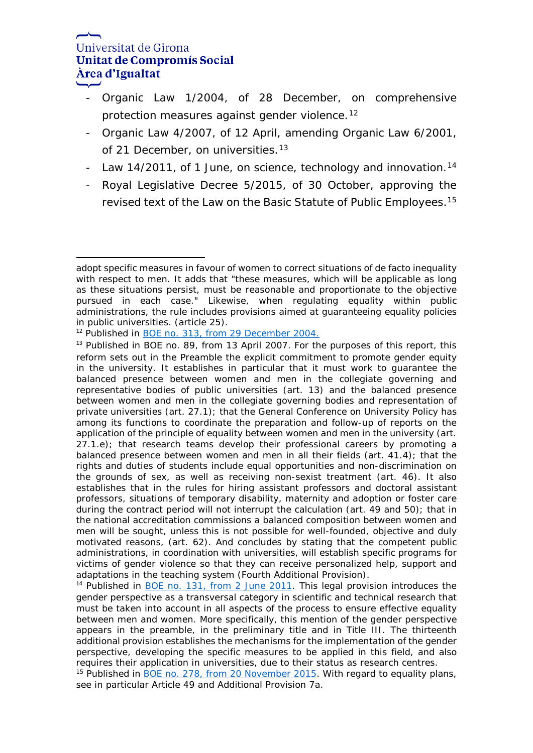- Organic Law 1/2004, of 28 December, on comprehensive protection measures against gender violence.<sup>[12](#page-16-0)</sup>
- Organic Law 4/2007, of 12 April, amending Organic Law 6/2001, of 21 December, on universities.<sup>[13](#page-16-1)</sup>
- Law [14](#page-16-2)/2011, of 1 June, on science, technology and innovation.<sup>14</sup>
- Royal Legislative Decree 5/2015, of 30 October, approving the revised text of the Law on the Basic Statute of Public Employees.[15](#page-16-3)

 $\overline{a}$ adopt specific measures in favour of women to correct situations of de facto inequality with respect to men. It adds that "these measures, which will be applicable as long as these situations persist, must be reasonable and proportionate to the objective pursued in each case." Likewise, when regulating equality within public administrations, the rule includes provisions aimed at guaranteeing equality policies in public universities. (article 25).

<span id="page-16-0"></span><sup>12</sup> Published in [BOE no. 313, from](https://boe.es/boe/dias/2004/12/29/pdfs/A42166-42197.pdf) 29 December 2004.

<span id="page-16-1"></span><sup>&</sup>lt;sup>13</sup> Published in BOE no. 89, from 13 April 2007. For the purposes of this report, this reform sets out in the Preamble the explicit commitment to promote gender equity in the university. It establishes in particular that it must work to guarantee the balanced presence between women and men in the collegiate governing and representative bodies of public universities (art. 13) and the balanced presence between women and men in the collegiate governing bodies and representation of private universities (art. 27.1); that the General Conference on University Policy has among its functions to coordinate the preparation and follow-up of reports on the application of the principle of equality between women and men in the university (art. 27.1.e); that research teams develop their professional careers by promoting a balanced presence between women and men in all their fields (art. 41.4); that the rights and duties of students include equal opportunities and non-discrimination on the grounds of sex, as well as receiving non-sexist treatment (art. 46). It also establishes that in the rules for hiring assistant professors and doctoral assistant professors, situations of temporary disability, maternity and adoption or foster care during the contract period will not interrupt the calculation (art. 49 and 50); that in the national accreditation commissions a balanced composition between women and men will be sought, unless this is not possible for well-founded, objective and duly motivated reasons, (art. 62). And concludes by stating that the competent public administrations, in coordination with universities, will establish specific programs for victims of gender violence so that they can receive personalized help, support and adaptations in the teaching system (Fourth Additional Provision).

<span id="page-16-2"></span><sup>&</sup>lt;sup>14</sup> Published in **[BOE no. 131, from](https://www.boe.es/buscar/act.php?id=BOE-A-2011-9617) 2 June 2011**. This legal provision introduces the gender perspective as a transversal category in scientific and technical research that must be taken into account in all aspects of the process to ensure effective equality between men and women. More specifically, this mention of the gender perspective appears in the preamble, in the preliminary title and in Title III. The thirteenth additional provision establishes the mechanisms for the implementation of the gender perspective, developing the specific measures to be applied in this field, and also requires their application in universities, due to their status as research centres.

<span id="page-16-3"></span><sup>&</sup>lt;sup>15</sup> Published in **BOE no. 278, from [20 November](https://boe.es/buscar/pdf/2015/BOE-A-2015-11719-consolidado.pdf) 2015**. With regard to equality plans, see in particular Article 49 and Additional Provision 7a.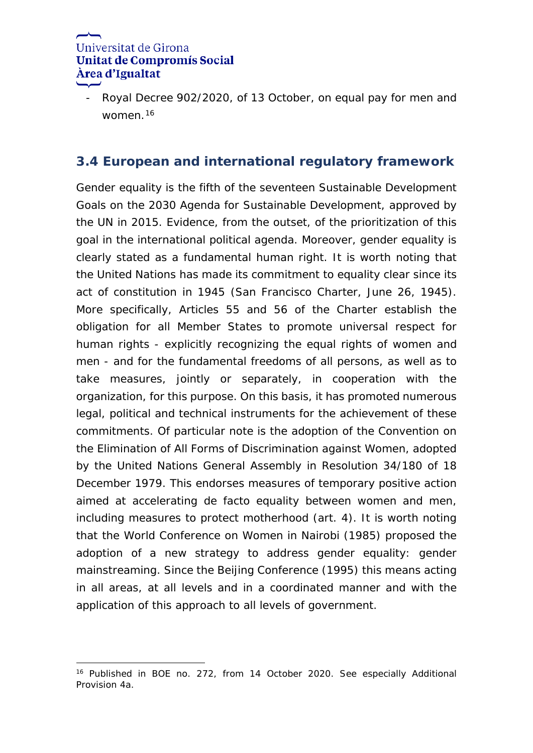- Royal Decree 902/2020, of 13 October, on equal pay for men and women.[16](#page-17-0)

#### **3.4 European and international regulatory framework**

Gender equality is the fifth of the seventeen Sustainable Development Goals on the 2030 Agenda for Sustainable Development, approved by the UN in 2015. Evidence, from the outset, of the prioritization of this goal in the international political agenda. Moreover, gender equality is clearly stated as a fundamental human right. It is worth noting that the United Nations has made its commitment to equality clear since its act of constitution in 1945 (San Francisco Charter, June 26, 1945). More specifically, Articles 55 and 56 of the Charter establish the obligation for all Member States to promote universal respect for human rights - explicitly recognizing the equal rights of women and men - and for the fundamental freedoms of all persons, as well as to take measures, jointly or separately, in cooperation with the organization, for this purpose. On this basis, it has promoted numerous legal, political and technical instruments for the achievement of these commitments. Of particular note is the adoption of the Convention on the Elimination of All Forms of Discrimination against Women, adopted by the United Nations General Assembly in Resolution 34/180 of 18 December 1979. This endorses measures of temporary positive action aimed at accelerating de facto equality between women and men, including measures to protect motherhood (art. 4). It is worth noting that the World Conference on Women in Nairobi (1985) proposed the adoption of a new strategy to address gender equality: gender mainstreaming. Since the Beijing Conference (1995) this means acting in all areas, at all levels and in a coordinated manner and with the application of this approach to all levels of government.

 $\overline{a}$ 

<span id="page-17-0"></span><sup>16</sup> Published in BOE no. 272, from 14 October 2020. See especially Additional Provision 4a.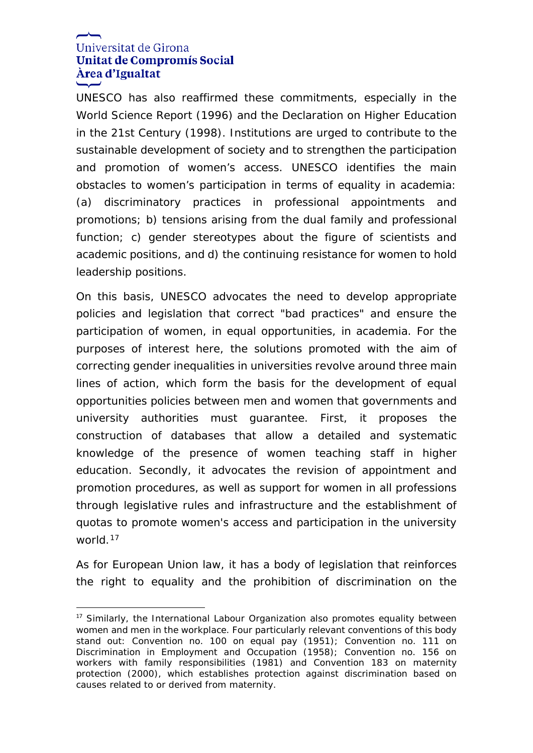UNESCO has also reaffirmed these commitments, especially in the World Science Report (1996) and the Declaration on Higher Education in the 21st Century (1998). Institutions are urged to contribute to the sustainable development of society and to strengthen the participation and promotion of women's access. UNESCO identifies the main obstacles to women's participation in terms of equality in academia: (a) discriminatory practices in professional appointments and promotions; b) tensions arising from the dual family and professional function; c) gender stereotypes about the figure of scientists and academic positions, and d) the continuing resistance for women to hold leadership positions.

On this basis, UNESCO advocates the need to develop appropriate policies and legislation that correct "bad practices" and ensure the participation of women, in equal opportunities, in academia. For the purposes of interest here, the solutions promoted with the aim of correcting gender inequalities in universities revolve around three main lines of action, which form the basis for the development of equal opportunities policies between men and women that governments and university authorities must guarantee. First, it proposes the construction of databases that allow a detailed and systematic knowledge of the presence of women teaching staff in higher education. Secondly, it advocates the revision of appointment and promotion procedures, as well as support for women in all professions through legislative rules and infrastructure and the establishment of quotas to promote women's access and participation in the university world.<sup>[17](#page-18-0)</sup>

As for European Union law, it has a body of legislation that reinforces the right to equality and the prohibition of discrimination on the

<span id="page-18-0"></span><sup>&</sup>lt;sup>17</sup> Similarly, the International Labour Organization also promotes equality between women and men in the workplace. Four particularly relevant conventions of this body stand out: Convention no. 100 on equal pay (1951); Convention no. 111 on Discrimination in Employment and Occupation (1958); Convention no. 156 on workers with family responsibilities (1981) and Convention 183 on maternity protection (2000), which establishes protection against discrimination based on causes related to or derived from maternity.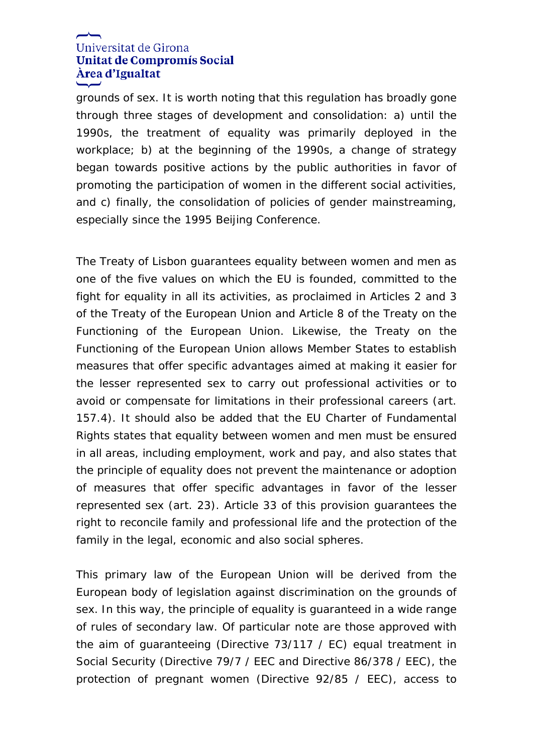grounds of sex. It is worth noting that this regulation has broadly gone through three stages of development and consolidation: a) until the 1990s, the treatment of equality was primarily deployed in the workplace; b) at the beginning of the 1990s, a change of strategy began towards positive actions by the public authorities in favor of promoting the participation of women in the different social activities, and c) finally, the consolidation of policies of gender mainstreaming, especially since the 1995 Beijing Conference.

The Treaty of Lisbon guarantees equality between women and men as one of the five values on which the EU is founded, committed to the fight for equality in all its activities, as proclaimed in Articles 2 and 3 of the Treaty of the European Union and Article 8 of the Treaty on the Functioning of the European Union. Likewise, the Treaty on the Functioning of the European Union allows Member States to establish measures that offer specific advantages aimed at making it easier for the lesser represented sex to carry out professional activities or to avoid or compensate for limitations in their professional careers (art. 157.4). It should also be added that the EU Charter of Fundamental Rights states that equality between women and men must be ensured in all areas, including employment, work and pay, and also states that the principle of equality does not prevent the maintenance or adoption of measures that offer specific advantages in favor of the lesser represented sex (art. 23). Article 33 of this provision guarantees the right to reconcile family and professional life and the protection of the family in the legal, economic and also social spheres.

This primary law of the European Union will be derived from the European body of legislation against discrimination on the grounds of sex. In this way, the principle of equality is guaranteed in a wide range of rules of secondary law. Of particular note are those approved with the aim of guaranteeing (Directive 73/117 / EC) equal treatment in Social Security (Directive 79/7 / EEC and Directive 86/378 / EEC), the protection of pregnant women (Directive 92/85 / EEC), access to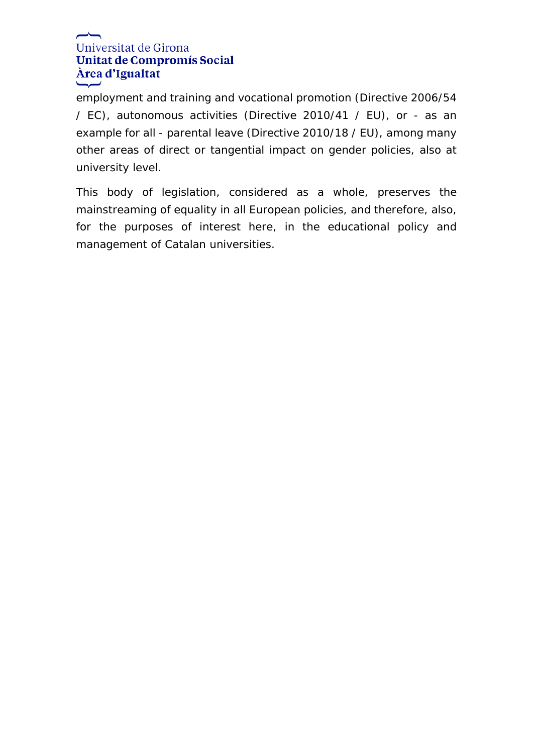employment and training and vocational promotion (Directive 2006/54 / EC), autonomous activities (Directive 2010/41 / EU), or - as an example for all - parental leave (Directive 2010/18 / EU), among many other areas of direct or tangential impact on gender policies, also at university level.

This body of legislation, considered as a whole, preserves the mainstreaming of equality in all European policies, and therefore, also, for the purposes of interest here, in the educational policy and management of Catalan universities.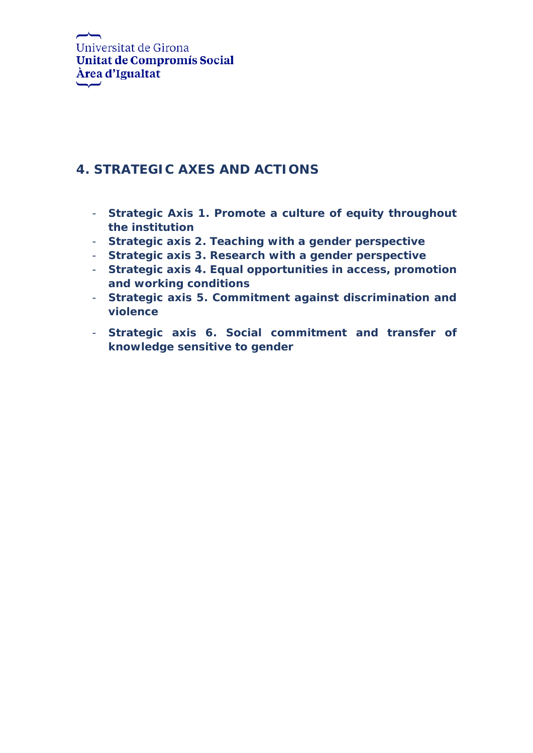### **4. STRATEGIC AXES AND ACTIONS**

- **Strategic Axis 1. Promote a culture of equity throughout the institution**
- **Strategic axis 2. Teaching with a gender perspective**
- **Strategic axis 3. Research with a gender perspective**
- **Strategic axis 4. Equal opportunities in access, promotion and working conditions**
- **Strategic axis 5. Commitment against discrimination and violence**
- **Strategic axis 6. Social commitment and transfer of knowledge sensitive to gender**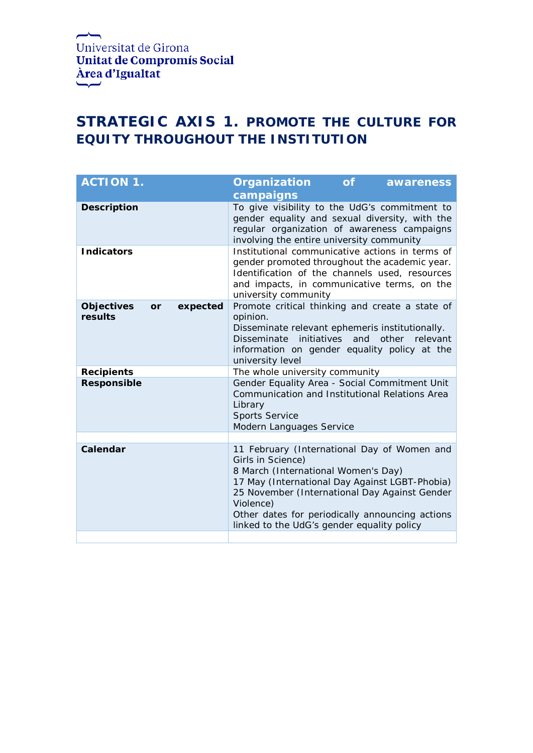## **STRATEGIC AXIS 1. PROMOTE THE CULTURE FOR EQUITY THROUGHOUT THE INSTITUTION**

| of<br>Organization<br>awareness<br>campaigns                                                                                                                                                                                                                                                                             |
|--------------------------------------------------------------------------------------------------------------------------------------------------------------------------------------------------------------------------------------------------------------------------------------------------------------------------|
| To give visibility to the UdG's commitment to<br>gender equality and sexual diversity, with the<br>regular organization of awareness campaigns<br>involving the entire university community                                                                                                                              |
| Institutional communicative actions in terms of<br>gender promoted throughout the academic year.<br>Identification of the channels used, resources<br>and impacts, in communicative terms, on the<br>university community                                                                                                |
| Promote critical thinking and create a state of<br>opinion.<br>Disseminate relevant ephemeris institutionally.<br>initiatives<br>and<br>other relevant<br><b>Disseminate</b><br>information on gender equality policy at the<br>university level                                                                         |
| The whole university community                                                                                                                                                                                                                                                                                           |
| Gender Equality Area - Social Commitment Unit<br>Communication and Institutional Relations Area<br>Library<br><b>Sports Service</b><br>Modern Languages Service                                                                                                                                                          |
|                                                                                                                                                                                                                                                                                                                          |
| 11 February (International Day of Women and<br>Girls in Science)<br>8 March (International Women's Day)<br>17 May (International Day Against LGBT-Phobia)<br>25 November (International Day Against Gender<br>Violence)<br>Other dates for periodically announcing actions<br>linked to the UdG's gender equality policy |
|                                                                                                                                                                                                                                                                                                                          |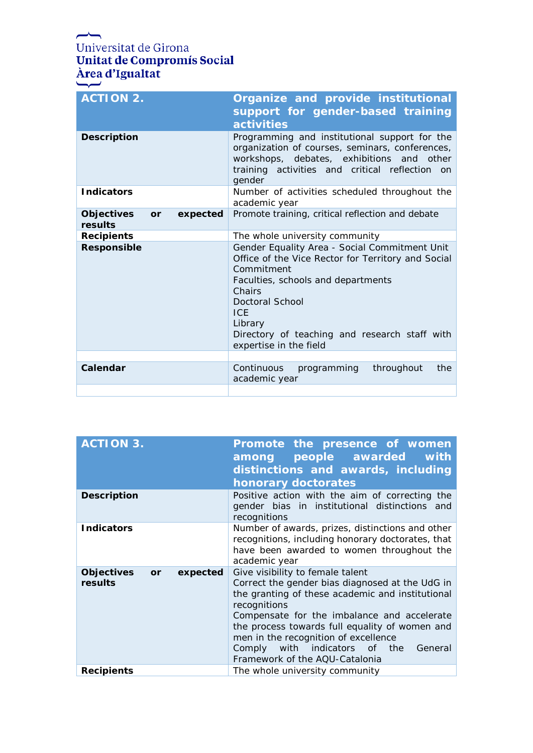| <b>ACTION 2.</b>                                      | Organize and provide institutional<br>support for gender-based training<br>activities                                                                                                                                                                                                    |
|-------------------------------------------------------|------------------------------------------------------------------------------------------------------------------------------------------------------------------------------------------------------------------------------------------------------------------------------------------|
| <b>Description</b>                                    | Programming and institutional support for the<br>organization of courses, seminars, conferences,<br>workshops, debates, exhibitions and other<br>training activities and critical reflection<br>on.<br>gender                                                                            |
| <b>Indicators</b>                                     | Number of activities scheduled throughout the<br>academic year                                                                                                                                                                                                                           |
| expected<br><b>Objectives</b><br><b>or</b><br>results | Promote training, critical reflection and debate                                                                                                                                                                                                                                         |
| <b>Recipients</b>                                     | The whole university community                                                                                                                                                                                                                                                           |
| Responsible                                           | Gender Equality Area - Social Commitment Unit<br>Office of the Vice Rector for Territory and Social<br>Commitment<br>Faculties, schools and departments<br>Chairs<br>Doctoral School<br><b>ICE</b><br>Library<br>Directory of teaching and research staff with<br>expertise in the field |
| Calendar                                              | throughout<br>Continuous programming<br>the                                                                                                                                                                                                                                              |
|                                                       | academic year                                                                                                                                                                                                                                                                            |
|                                                       |                                                                                                                                                                                                                                                                                          |

| <b>ACTION 3.</b>                                      | Promote the presence of women<br>among people awarded with<br>distinctions and awards, including                                                                                                                                                                                                                                                                                  |
|-------------------------------------------------------|-----------------------------------------------------------------------------------------------------------------------------------------------------------------------------------------------------------------------------------------------------------------------------------------------------------------------------------------------------------------------------------|
|                                                       | honorary doctorates                                                                                                                                                                                                                                                                                                                                                               |
| <b>Description</b>                                    | Positive action with the aim of correcting the<br>gender bias in institutional distinctions and<br>recognitions                                                                                                                                                                                                                                                                   |
| <b>Indicators</b>                                     | Number of awards, prizes, distinctions and other<br>recognitions, including honorary doctorates, that<br>have been awarded to women throughout the<br>academic year                                                                                                                                                                                                               |
| <b>Objectives</b><br>expected<br><b>or</b><br>results | Give visibility to female talent<br>Correct the gender bias diagnosed at the UdG in<br>the granting of these academic and institutional<br>recognitions<br>Compensate for the imbalance and accelerate<br>the process towards full equality of women and<br>men in the recognition of excellence<br>Comply with indicators of<br>General<br>the<br>Framework of the AQU-Catalonia |
| <b>Recipients</b>                                     | The whole university community                                                                                                                                                                                                                                                                                                                                                    |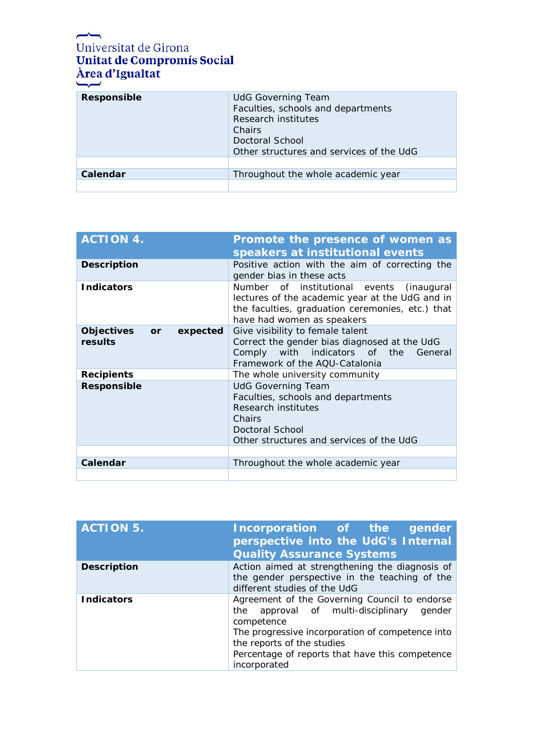| Responsible | <b>UdG Governing Team</b><br>Faculties, schools and departments<br>Research institutes<br><b>Chairs</b><br>Doctoral School<br>Other structures and services of the UdG |
|-------------|------------------------------------------------------------------------------------------------------------------------------------------------------------------------|
| Calendar    | Throughout the whole academic year                                                                                                                                     |
|             |                                                                                                                                                                        |

| <b>ACTION 4.</b>                     | Promote the presence of women as                                                                                                                                               |
|--------------------------------------|--------------------------------------------------------------------------------------------------------------------------------------------------------------------------------|
|                                      | speakers at institutional events                                                                                                                                               |
| <b>Description</b>                   | Positive action with the aim of correcting the<br>gender bias in these acts                                                                                                    |
| <b>Indicators</b>                    | Number of institutional events (inaugural<br>lectures of the academic year at the UdG and in<br>the faculties, graduation ceremonies, etc.) that<br>have had women as speakers |
| Objectives or<br>expected<br>results | Give visibility to female talent<br>Correct the gender bias diagnosed at the UdG<br>Comply with indicators of the<br>General<br>Framework of the AQU-Catalonia                 |
| <b>Recipients</b>                    | The whole university community                                                                                                                                                 |
| <b>Responsible</b>                   | <b>UdG Governing Team</b><br>Faculties, schools and departments<br>Research institutes<br>Chairs<br>Doctoral School<br>Other structures and services of the UdG                |
|                                      |                                                                                                                                                                                |
| Calendar                             | Throughout the whole academic year                                                                                                                                             |
|                                      |                                                                                                                                                                                |

| <b>ACTION 5.</b>   | Incorporation of the gender<br>perspective into the UdG's Internal<br><b>Quality Assurance Systems</b>                                                                                                                                                              |
|--------------------|---------------------------------------------------------------------------------------------------------------------------------------------------------------------------------------------------------------------------------------------------------------------|
| <b>Description</b> | Action aimed at strengthening the diagnosis of<br>the gender perspective in the teaching of the<br>different studies of the UdG                                                                                                                                     |
| <b>Indicators</b>  | Agreement of the Governing Council to endorse<br>approval of multi-disciplinary<br>aender<br>the<br>competence<br>The progressive incorporation of competence into<br>the reports of the studies<br>Percentage of reports that have this competence<br>incorporated |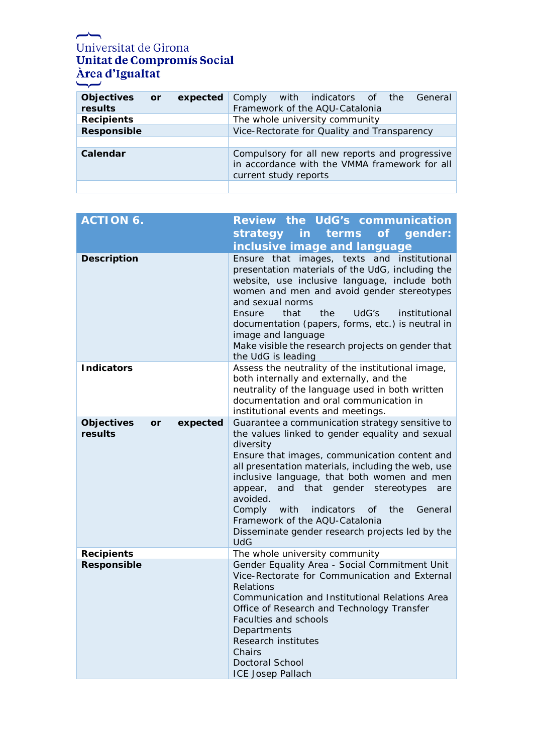| Objectives or<br>results | expected |                       | Comply with indicators of the General<br>Framework of the AQU-Catalonia                         |  |  |
|--------------------------|----------|-----------------------|-------------------------------------------------------------------------------------------------|--|--|
| <b>Recipients</b>        |          |                       | The whole university community                                                                  |  |  |
| Responsible              |          |                       | Vice-Rectorate for Quality and Transparency                                                     |  |  |
|                          |          |                       |                                                                                                 |  |  |
| Calendar                 |          | current study reports | Compulsory for all new reports and progressive<br>in accordance with the VMMA framework for all |  |  |
|                          |          |                       |                                                                                                 |  |  |

| <b>ACTION 6.</b>                               | Review the UdG's communication                                                                                                                                                                                                                                                                                                                                                                                                                                                               |
|------------------------------------------------|----------------------------------------------------------------------------------------------------------------------------------------------------------------------------------------------------------------------------------------------------------------------------------------------------------------------------------------------------------------------------------------------------------------------------------------------------------------------------------------------|
|                                                | $\mathsf{in}$<br>strategy<br>terms<br><b>of</b><br>gender:                                                                                                                                                                                                                                                                                                                                                                                                                                   |
|                                                | inclusive image and language                                                                                                                                                                                                                                                                                                                                                                                                                                                                 |
| <b>Description</b>                             | Ensure that images, texts and institutional<br>presentation materials of the UdG, including the<br>website, use inclusive language, include both<br>women and men and avoid gender stereotypes<br>and sexual norms<br>the<br>UdG's<br>Ensure<br>that<br>institutional<br>documentation (papers, forms, etc.) is neutral in<br>image and language<br>Make visible the research projects on gender that<br>the UdG is leading                                                                  |
| <b>Indicators</b>                              | Assess the neutrality of the institutional image,                                                                                                                                                                                                                                                                                                                                                                                                                                            |
|                                                | both internally and externally, and the<br>neutrality of the language used in both written<br>documentation and oral communication in<br>institutional events and meetings.                                                                                                                                                                                                                                                                                                                  |
| <b>Objectives</b><br>expected<br>or<br>results | Guarantee a communication strategy sensitive to<br>the values linked to gender equality and sexual<br>diversity<br>Ensure that images, communication content and<br>all presentation materials, including the web, use<br>inclusive language, that both women and men<br>and that gender stereotypes<br>appear,<br>are<br>avoided.<br>Comply with<br>indicators<br>the<br>General<br>of l<br>Framework of the AQU-Catalonia<br>Disseminate gender research projects led by the<br><b>UdG</b> |
| <b>Recipients</b>                              | The whole university community                                                                                                                                                                                                                                                                                                                                                                                                                                                               |
| <b>Responsible</b>                             | Gender Equality Area - Social Commitment Unit<br>Vice-Rectorate for Communication and External<br>Relations<br>Communication and Institutional Relations Area<br>Office of Research and Technology Transfer<br><b>Faculties and schools</b><br>Departments<br><b>Research institutes</b><br>Chairs<br>Doctoral School<br><b>ICE Josep Pallach</b>                                                                                                                                            |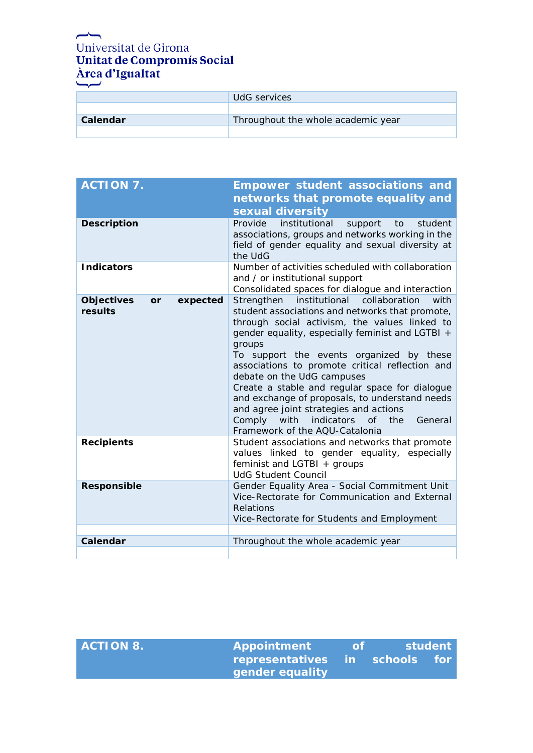|          | UdG services                       |
|----------|------------------------------------|
|          |                                    |
| Calendar | Throughout the whole academic year |
|          |                                    |

| <b>ACTION 7.</b>                               | <b>Empower student associations and</b><br>networks that promote equality and<br>sexual diversity                                                                                                                                                                                                                                                                                                                                                                                                                                                                                  |
|------------------------------------------------|------------------------------------------------------------------------------------------------------------------------------------------------------------------------------------------------------------------------------------------------------------------------------------------------------------------------------------------------------------------------------------------------------------------------------------------------------------------------------------------------------------------------------------------------------------------------------------|
| <b>Description</b>                             | institutional<br>Provide<br>support<br>student<br>to<br>associations, groups and networks working in the<br>field of gender equality and sexual diversity at<br>the UdG                                                                                                                                                                                                                                                                                                                                                                                                            |
| <b>Indicators</b>                              | Number of activities scheduled with collaboration<br>and / or institutional support<br>Consolidated spaces for dialogue and interaction                                                                                                                                                                                                                                                                                                                                                                                                                                            |
| <b>Objectives</b><br>expected<br>or<br>results | institutional<br>collaboration<br>Strengthen<br>with<br>student associations and networks that promote,<br>through social activism, the values linked to<br>gender equality, especially feminist and LGTBI +<br>groups<br>To support the events organized by these<br>associations to promote critical reflection and<br>debate on the UdG campuses<br>Create a stable and regular space for dialogue<br>and exchange of proposals, to understand needs<br>and agree joint strategies and actions<br>Comply with indicators of<br>the<br>General<br>Framework of the AQU-Catalonia |
| <b>Recipients</b>                              | Student associations and networks that promote<br>values linked to gender equality, especially<br>feminist and LGTBI + groups<br><b>UdG Student Council</b>                                                                                                                                                                                                                                                                                                                                                                                                                        |
| Responsible                                    | Gender Equality Area - Social Commitment Unit<br>Vice-Rectorate for Communication and External<br><b>Relations</b><br>Vice-Rectorate for Students and Employment                                                                                                                                                                                                                                                                                                                                                                                                                   |
|                                                |                                                                                                                                                                                                                                                                                                                                                                                                                                                                                                                                                                                    |
| Calendar                                       | Throughout the whole academic year                                                                                                                                                                                                                                                                                                                                                                                                                                                                                                                                                 |
|                                                |                                                                                                                                                                                                                                                                                                                                                                                                                                                                                                                                                                                    |

| <b>ACTION 8.</b> | Appointment                    | nt. | student |
|------------------|--------------------------------|-----|---------|
|                  | representatives in schools for |     |         |
|                  | gender equality                |     |         |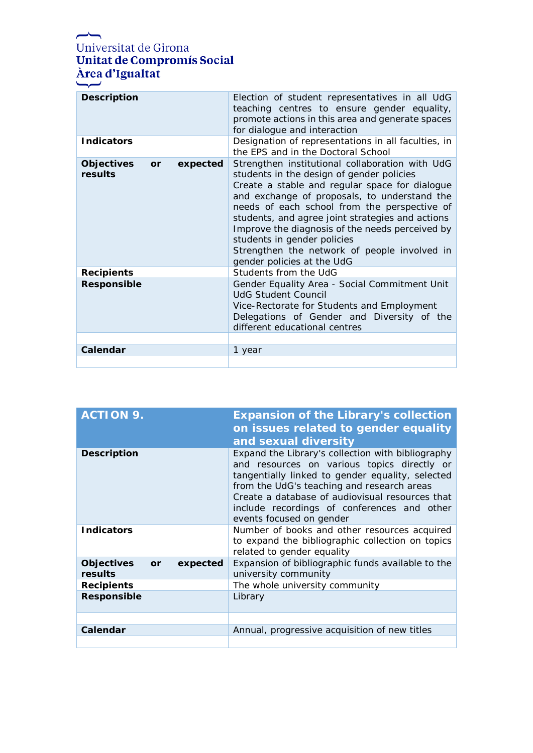| <b>Description</b>                                    | Election of student representatives in all UdG<br>teaching centres to ensure gender equality,<br>promote actions in this area and generate spaces<br>for dialogue and interaction                                                                                                                                                                                                                                                                                  |
|-------------------------------------------------------|--------------------------------------------------------------------------------------------------------------------------------------------------------------------------------------------------------------------------------------------------------------------------------------------------------------------------------------------------------------------------------------------------------------------------------------------------------------------|
| <b>Indicators</b>                                     | Designation of representations in all faculties, in<br>the EPS and in the Doctoral School                                                                                                                                                                                                                                                                                                                                                                          |
| <b>Objectives</b><br>expected<br><b>or</b><br>results | Strengthen institutional collaboration with UdG<br>students in the design of gender policies<br>Create a stable and regular space for dialogue<br>and exchange of proposals, to understand the<br>needs of each school from the perspective of<br>students, and agree joint strategies and actions<br>Improve the diagnosis of the needs perceived by<br>students in gender policies<br>Strengthen the network of people involved in<br>gender policies at the UdG |
| <b>Recipients</b>                                     | Students from the UdG                                                                                                                                                                                                                                                                                                                                                                                                                                              |
| <b>Responsible</b>                                    | Gender Equality Area - Social Commitment Unit<br><b>UdG Student Council</b><br>Vice-Rectorate for Students and Employment<br>Delegations of Gender and Diversity of the<br>different educational centres                                                                                                                                                                                                                                                           |
|                                                       |                                                                                                                                                                                                                                                                                                                                                                                                                                                                    |
| Calendar                                              | 1 year                                                                                                                                                                                                                                                                                                                                                                                                                                                             |
|                                                       |                                                                                                                                                                                                                                                                                                                                                                                                                                                                    |

| <b>ACTION 9.</b>                               | <b>Expansion of the Library's collection</b><br>on issues related to gender equality<br>and sexual diversity                                                                                                                                                                                                                     |
|------------------------------------------------|----------------------------------------------------------------------------------------------------------------------------------------------------------------------------------------------------------------------------------------------------------------------------------------------------------------------------------|
| <b>Description</b>                             | Expand the Library's collection with bibliography<br>and resources on various topics directly or<br>tangentially linked to gender equality, selected<br>from the UdG's teaching and research areas<br>Create a database of audiovisual resources that<br>include recordings of conferences and other<br>events focused on gender |
| <b>Indicators</b>                              | Number of books and other resources acquired<br>to expand the bibliographic collection on topics<br>related to gender equality                                                                                                                                                                                                   |
| <b>Objectives</b><br>expected<br>or<br>results | Expansion of bibliographic funds available to the<br>university community                                                                                                                                                                                                                                                        |
| <b>Recipients</b>                              | The whole university community                                                                                                                                                                                                                                                                                                   |
| <b>Responsible</b>                             | Library                                                                                                                                                                                                                                                                                                                          |
|                                                |                                                                                                                                                                                                                                                                                                                                  |
| Calendar                                       | Annual, progressive acquisition of new titles                                                                                                                                                                                                                                                                                    |
|                                                |                                                                                                                                                                                                                                                                                                                                  |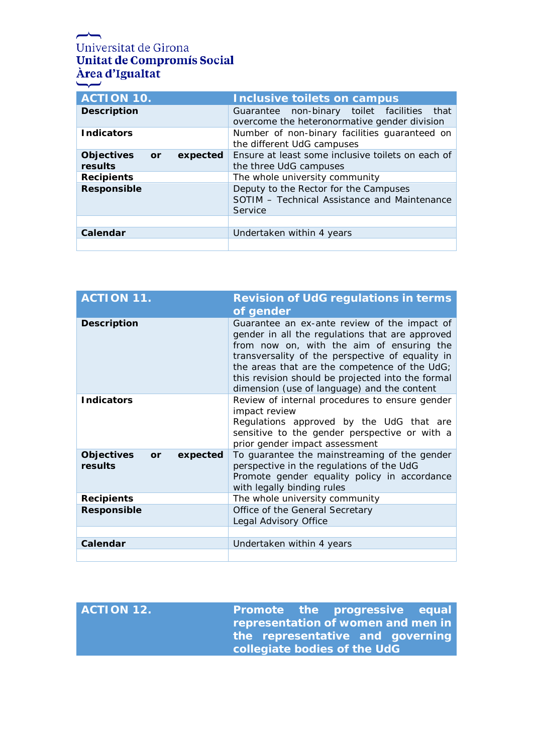| <b>ACTION 10.</b>                                     | Inclusive toilets on campus                                                                      |
|-------------------------------------------------------|--------------------------------------------------------------------------------------------------|
| <b>Description</b>                                    | Guarantee non-binary toilet facilities that                                                      |
|                                                       | overcome the heteronormative gender division                                                     |
| <b>Indicators</b>                                     | Number of non-binary facilities guaranteed on<br>the different UdG campuses                      |
| <b>Objectives</b><br>expected<br><b>or</b><br>results | Ensure at least some inclusive toilets on each of<br>the three UdG campuses                      |
| <b>Recipients</b>                                     | The whole university community                                                                   |
| Responsible                                           | Deputy to the Rector for the Campuses<br>SOTIM - Technical Assistance and Maintenance<br>Service |
|                                                       |                                                                                                  |
| Calendar                                              | Undertaken within 4 years                                                                        |
|                                                       |                                                                                                  |

| <b>ACTION 11.</b>                              | <b>Revision of UdG regulations in terms</b><br>of gender                                                                                                                                                                                                                                                                                              |
|------------------------------------------------|-------------------------------------------------------------------------------------------------------------------------------------------------------------------------------------------------------------------------------------------------------------------------------------------------------------------------------------------------------|
| <b>Description</b>                             | Guarantee an ex-ante review of the impact of<br>gender in all the regulations that are approved<br>from now on, with the aim of ensuring the<br>transversality of the perspective of equality in<br>the areas that are the competence of the UdG;<br>this revision should be projected into the formal<br>dimension (use of language) and the content |
| <b>Indicators</b>                              | Review of internal procedures to ensure gender<br>impact review<br>Regulations approved by the UdG that are<br>sensitive to the gender perspective or with a<br>prior gender impact assessment                                                                                                                                                        |
| expected<br>Objectives<br><b>or</b><br>results | To guarantee the mainstreaming of the gender<br>perspective in the regulations of the UdG<br>Promote gender equality policy in accordance<br>with legally binding rules                                                                                                                                                                               |
| <b>Recipients</b>                              | The whole university community                                                                                                                                                                                                                                                                                                                        |
| Responsible                                    | Office of the General Secretary<br>Legal Advisory Office                                                                                                                                                                                                                                                                                              |
|                                                |                                                                                                                                                                                                                                                                                                                                                       |
| Calendar                                       | Undertaken within 4 years                                                                                                                                                                                                                                                                                                                             |
|                                                |                                                                                                                                                                                                                                                                                                                                                       |

| <b>ACTION 12.</b> | Promote the progressive equal      |
|-------------------|------------------------------------|
|                   | representation of women and men in |
|                   | the representative and governing   |
|                   | collegiate bodies of the UdG       |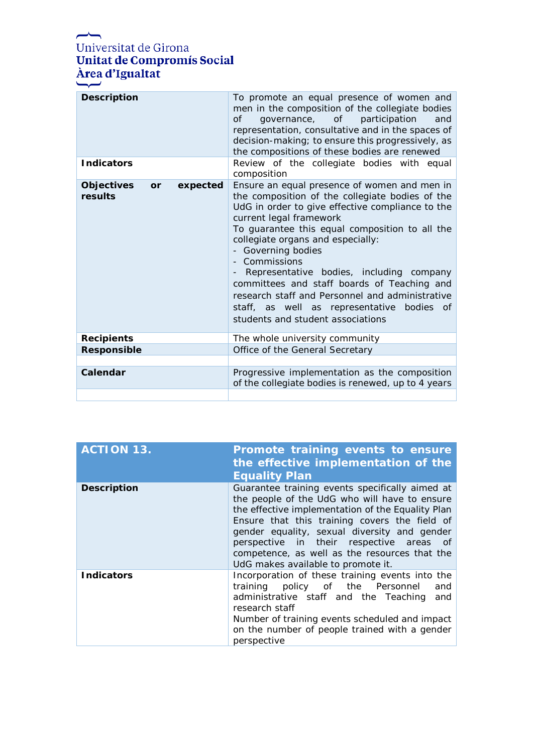| <b>Description</b>                             | To promote an equal presence of women and<br>men in the composition of the collegiate bodies<br>governance, of<br>participation<br>and<br>Οf<br>representation, consultative and in the spaces of<br>decision-making; to ensure this progressively, as<br>the compositions of these bodies are renewed                                                                                                                                                                                                                                        |
|------------------------------------------------|-----------------------------------------------------------------------------------------------------------------------------------------------------------------------------------------------------------------------------------------------------------------------------------------------------------------------------------------------------------------------------------------------------------------------------------------------------------------------------------------------------------------------------------------------|
| <b>Indicators</b>                              | Review of the collegiate bodies with equal<br>composition                                                                                                                                                                                                                                                                                                                                                                                                                                                                                     |
| <b>Objectives</b><br>expected<br>or<br>results | Ensure an equal presence of women and men in<br>the composition of the collegiate bodies of the<br>UdG in order to give effective compliance to the<br>current legal framework<br>To guarantee this equal composition to all the<br>collegiate organs and especially:<br>- Governing bodies<br>- Commissions<br>Representative bodies, including company<br>committees and staff boards of Teaching and<br>research staff and Personnel and administrative<br>staff, as well as representative bodies of<br>students and student associations |
| <b>Recipients</b>                              | The whole university community                                                                                                                                                                                                                                                                                                                                                                                                                                                                                                                |
| <b>Responsible</b>                             | Office of the General Secretary                                                                                                                                                                                                                                                                                                                                                                                                                                                                                                               |
|                                                |                                                                                                                                                                                                                                                                                                                                                                                                                                                                                                                                               |
| Calendar                                       | Progressive implementation as the composition<br>of the collegiate bodies is renewed, up to 4 years                                                                                                                                                                                                                                                                                                                                                                                                                                           |
|                                                |                                                                                                                                                                                                                                                                                                                                                                                                                                                                                                                                               |

| <b>ACTION 13.</b>  | Promote training events to ensure<br>the effective implementation of the<br><b>Equality Plan</b>                                                                                                                                                                                                                                                                                          |
|--------------------|-------------------------------------------------------------------------------------------------------------------------------------------------------------------------------------------------------------------------------------------------------------------------------------------------------------------------------------------------------------------------------------------|
| <b>Description</b> | Guarantee training events specifically aimed at<br>the people of the UdG who will have to ensure<br>the effective implementation of the Equality Plan<br>Ensure that this training covers the field of<br>gender equality, sexual diversity and gender<br>perspective in their respective areas of<br>competence, as well as the resources that the<br>UdG makes available to promote it. |
| <b>Indicators</b>  | Incorporation of these training events into the<br>training policy of the Personnel<br>and<br>administrative staff and the Teaching<br>and<br>research staff<br>Number of training events scheduled and impact<br>on the number of people trained with a gender<br>perspective                                                                                                            |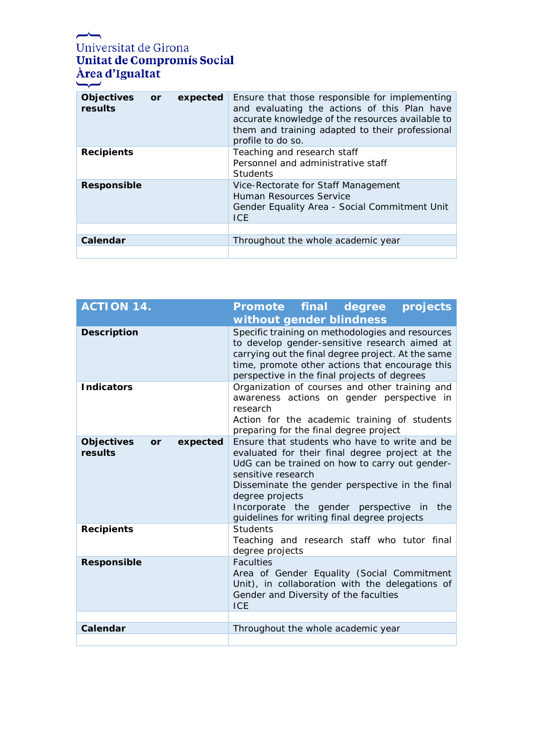| <b>Objectives</b><br>results | or o | expected | Ensure that those responsible for implementing<br>and evaluating the actions of this Plan have<br>accurate knowledge of the resources available to<br>them and training adapted to their professional<br>profile to do so. |
|------------------------------|------|----------|----------------------------------------------------------------------------------------------------------------------------------------------------------------------------------------------------------------------------|
| <b>Recipients</b>            |      |          | Teaching and research staff<br>Personnel and administrative staff<br><b>Students</b>                                                                                                                                       |
| Responsible                  |      |          | Vice-Rectorate for Staff Management<br>Human Resources Service<br>Gender Equality Area - Social Commitment Unit<br>ICE.                                                                                                    |
|                              |      |          |                                                                                                                                                                                                                            |
| Calendar                     |      |          | Throughout the whole academic year                                                                                                                                                                                         |
|                              |      |          |                                                                                                                                                                                                                            |

| <b>ACTION 14.</b>                              | Promote final degree<br>projects<br>without gender blindness                                                                                                                                                                                                                                                                                |
|------------------------------------------------|---------------------------------------------------------------------------------------------------------------------------------------------------------------------------------------------------------------------------------------------------------------------------------------------------------------------------------------------|
| <b>Description</b>                             | Specific training on methodologies and resources<br>to develop gender-sensitive research aimed at<br>carrying out the final degree project. At the same<br>time, promote other actions that encourage this<br>perspective in the final projects of degrees                                                                                  |
| <b>Indicators</b>                              | Organization of courses and other training and<br>awareness actions on gender perspective in<br>research<br>Action for the academic training of students<br>preparing for the final degree project                                                                                                                                          |
| <b>Objectives</b><br>expected<br>or<br>results | Ensure that students who have to write and be<br>evaluated for their final degree project at the<br>UdG can be trained on how to carry out gender-<br>sensitive research<br>Disseminate the gender perspective in the final<br>degree projects<br>Incorporate the gender perspective in the<br>guidelines for writing final degree projects |
| <b>Recipients</b>                              | <b>Students</b><br>Teaching and research staff who tutor final<br>degree projects                                                                                                                                                                                                                                                           |
| <b>Responsible</b>                             | <b>Faculties</b><br>Area of Gender Equality (Social Commitment<br>Unit), in collaboration with the delegations of<br>Gender and Diversity of the faculties<br><b>ICE</b>                                                                                                                                                                    |
|                                                |                                                                                                                                                                                                                                                                                                                                             |
| Calendar                                       | Throughout the whole academic year                                                                                                                                                                                                                                                                                                          |
|                                                |                                                                                                                                                                                                                                                                                                                                             |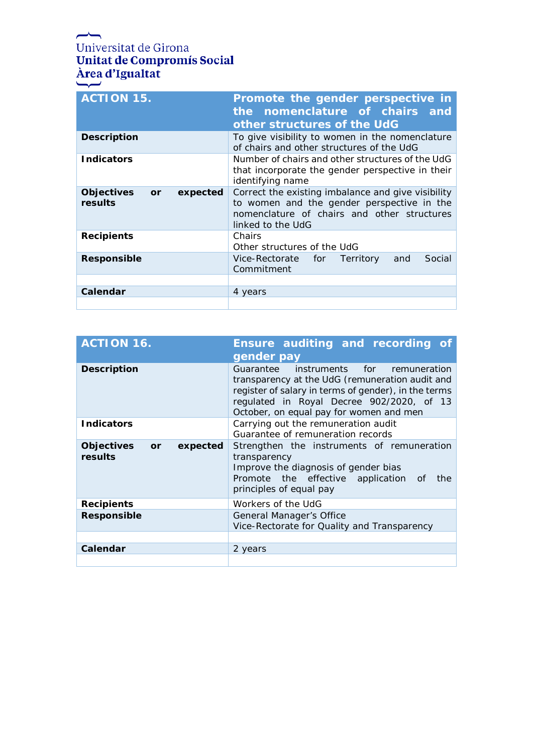| <b>ACTION 15.</b>                                     | Promote the gender perspective in<br>the nomenclature of chairs and<br>other structures of the UdG                                                                   |
|-------------------------------------------------------|----------------------------------------------------------------------------------------------------------------------------------------------------------------------|
| <b>Description</b>                                    | To give visibility to women in the nomenclature<br>of chairs and other structures of the UdG                                                                         |
| <b>Indicators</b>                                     | Number of chairs and other structures of the UdG<br>that incorporate the gender perspective in their<br>identifying name                                             |
| <b>Objectives</b><br>expected<br><b>or</b><br>results | Correct the existing imbalance and give visibility<br>to women and the gender perspective in the<br>nomenclature of chairs and other structures<br>linked to the UdG |
| <b>Recipients</b>                                     | Chairs<br>Other structures of the UdG                                                                                                                                |
| Responsible                                           | Vice-Rectorate for<br>Social<br>Territory<br>and<br>Commitment                                                                                                       |
|                                                       |                                                                                                                                                                      |
| Calendar                                              | 4 years                                                                                                                                                              |
|                                                       |                                                                                                                                                                      |

| <b>ACTION 16.</b>                                     | Ensure auditing and recording of<br>gender pay                                                                                                                                                                                            |
|-------------------------------------------------------|-------------------------------------------------------------------------------------------------------------------------------------------------------------------------------------------------------------------------------------------|
| <b>Description</b>                                    | Guarantee instruments for remuneration<br>transparency at the UdG (remuneration audit and<br>register of salary in terms of gender), in the terms<br>regulated in Royal Decree 902/2020, of 13<br>October, on equal pay for women and men |
| <b>Indicators</b>                                     | Carrying out the remuneration audit<br>Guarantee of remuneration records                                                                                                                                                                  |
| <b>Objectives</b><br>expected<br><b>or</b><br>results | Strengthen the instruments of remuneration<br>transparency<br>Improve the diagnosis of gender bias<br>Promote the effective application of<br>the<br>principles of equal pay                                                              |
| <b>Recipients</b>                                     | Workers of the UdG                                                                                                                                                                                                                        |
| <b>Responsible</b>                                    | General Manager's Office<br>Vice-Rectorate for Quality and Transparency                                                                                                                                                                   |
|                                                       |                                                                                                                                                                                                                                           |
| Calendar                                              | 2 years                                                                                                                                                                                                                                   |
|                                                       |                                                                                                                                                                                                                                           |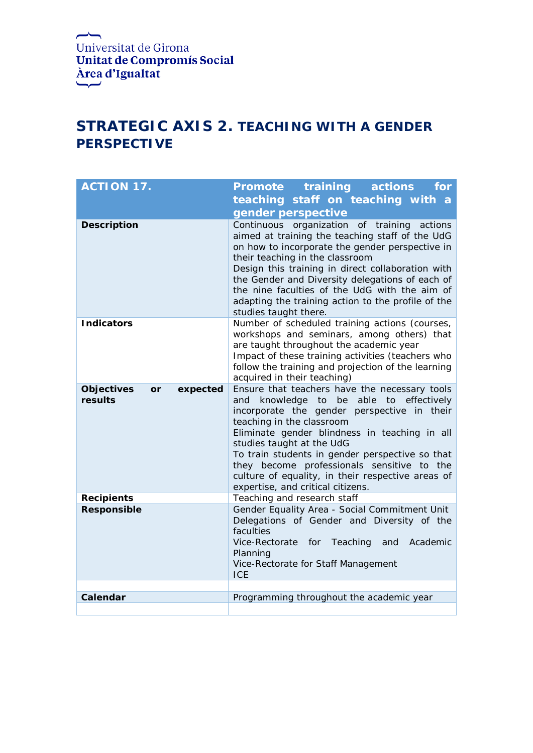## **STRATEGIC AXIS 2. TEACHING WITH A GENDER PERSPECTIVE**

| <b>ACTION 17.</b>                                     | <b>Promote training actions</b><br>for<br>teaching staff on teaching with a                                                                                                                                                                                                                                                                                                                                                                         |
|-------------------------------------------------------|-----------------------------------------------------------------------------------------------------------------------------------------------------------------------------------------------------------------------------------------------------------------------------------------------------------------------------------------------------------------------------------------------------------------------------------------------------|
|                                                       | gender perspective                                                                                                                                                                                                                                                                                                                                                                                                                                  |
| <b>Description</b>                                    | Continuous organization of training<br>actions<br>aimed at training the teaching staff of the UdG<br>on how to incorporate the gender perspective in<br>their teaching in the classroom<br>Design this training in direct collaboration with<br>the Gender and Diversity delegations of each of<br>the nine faculties of the UdG with the aim of<br>adapting the training action to the profile of the<br>studies taught there.                     |
| <b>Indicators</b>                                     | Number of scheduled training actions (courses,<br>workshops and seminars, among others) that<br>are taught throughout the academic year<br>Impact of these training activities (teachers who<br>follow the training and projection of the learning<br>acquired in their teaching)                                                                                                                                                                   |
| <b>Objectives</b><br>expected<br><b>or</b><br>results | Ensure that teachers have the necessary tools<br>be able to effectively<br>and<br>knowledge to<br>incorporate the gender perspective in their<br>teaching in the classroom<br>Eliminate gender blindness in teaching in all<br>studies taught at the UdG<br>To train students in gender perspective so that<br>they become professionals sensitive to the<br>culture of equality, in their respective areas of<br>expertise, and critical citizens. |
| <b>Recipients</b>                                     | Teaching and research staff                                                                                                                                                                                                                                                                                                                                                                                                                         |
| <b>Responsible</b>                                    | Gender Equality Area - Social Commitment Unit<br>Delegations of Gender and Diversity of the<br>faculties<br>Academic<br>Vice-Rectorate<br>for<br>Teaching<br>and<br>Planning<br>Vice-Rectorate for Staff Management<br><b>ICE</b>                                                                                                                                                                                                                   |
|                                                       |                                                                                                                                                                                                                                                                                                                                                                                                                                                     |
| Calendar                                              | Programming throughout the academic year                                                                                                                                                                                                                                                                                                                                                                                                            |
|                                                       |                                                                                                                                                                                                                                                                                                                                                                                                                                                     |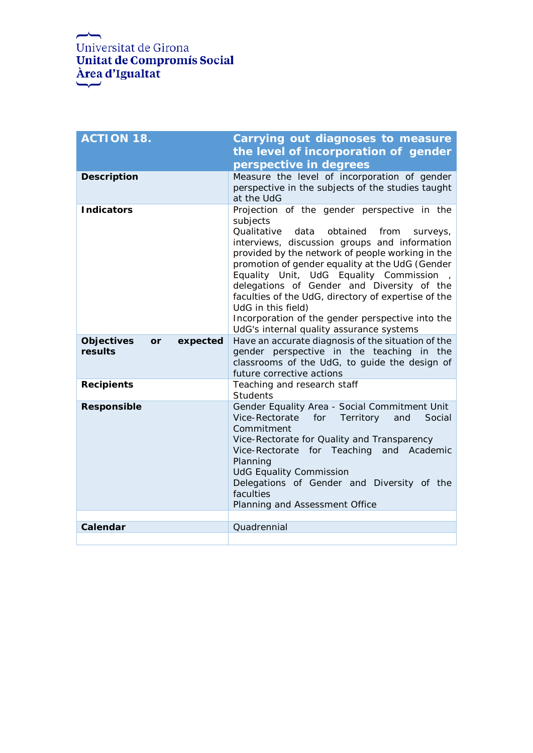| the level of incorporation of gender<br>perspective in degrees                                                                                                                                                                                                                                                                                                                                                                                                                                                   |
|------------------------------------------------------------------------------------------------------------------------------------------------------------------------------------------------------------------------------------------------------------------------------------------------------------------------------------------------------------------------------------------------------------------------------------------------------------------------------------------------------------------|
| Measure the level of incorporation of gender<br>perspective in the subjects of the studies taught                                                                                                                                                                                                                                                                                                                                                                                                                |
| Projection of the gender perspective in the<br>data<br>obtained<br>from<br>surveys,<br>interviews, discussion groups and information<br>provided by the network of people working in the<br>promotion of gender equality at the UdG (Gender<br>Equality Unit, UdG Equality Commission<br>delegations of Gender and Diversity of the<br>faculties of the UdG, directory of expertise of the<br>UdG in this field)<br>Incorporation of the gender perspective into the<br>UdG's internal quality assurance systems |
| Have an accurate diagnosis of the situation of the<br>gender perspective in the teaching in the<br>classrooms of the UdG, to guide the design of<br>future corrective actions                                                                                                                                                                                                                                                                                                                                    |
| Teaching and research staff                                                                                                                                                                                                                                                                                                                                                                                                                                                                                      |
| Gender Equality Area - Social Commitment Unit<br>Vice-Rectorate<br>for<br>Territory<br>Social<br>and<br>Vice-Rectorate for Quality and Transparency<br>Vice-Rectorate for Teaching<br>and Academic<br><b>UdG Equality Commission</b><br>Delegations of Gender and Diversity of the<br>Planning and Assessment Office                                                                                                                                                                                             |
|                                                                                                                                                                                                                                                                                                                                                                                                                                                                                                                  |
|                                                                                                                                                                                                                                                                                                                                                                                                                                                                                                                  |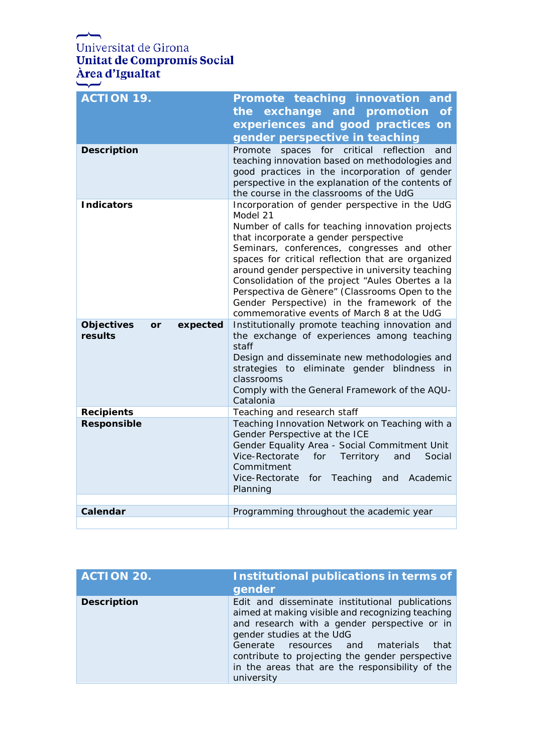| <b>ACTION 19.</b>                              | Promote teaching innovation and<br>the exchange and promotion<br>of<br>experiences and good practices on<br>gender perspective in teaching                                                                                                                                                                                                                                                                                                                                                                         |
|------------------------------------------------|--------------------------------------------------------------------------------------------------------------------------------------------------------------------------------------------------------------------------------------------------------------------------------------------------------------------------------------------------------------------------------------------------------------------------------------------------------------------------------------------------------------------|
| <b>Description</b>                             | spaces for<br>critical<br>reflection<br>Promote<br>and<br>teaching innovation based on methodologies and<br>good practices in the incorporation of gender<br>perspective in the explanation of the contents of<br>the course in the classrooms of the UdG                                                                                                                                                                                                                                                          |
| <b>Indicators</b>                              | Incorporation of gender perspective in the UdG<br>Model 21<br>Number of calls for teaching innovation projects<br>that incorporate a gender perspective<br>Seminars, conferences, congresses and other<br>spaces for critical reflection that are organized<br>around gender perspective in university teaching<br>Consolidation of the project "Aules Obertes a la<br>Perspectiva de Gènere" (Classrooms Open to the<br>Gender Perspective) in the framework of the<br>commemorative events of March 8 at the UdG |
| <b>Objectives</b><br>expected<br>or<br>results | Institutionally promote teaching innovation and<br>the exchange of experiences among teaching<br>staff<br>Design and disseminate new methodologies and<br>strategies to eliminate gender blindness in<br>classrooms<br>Comply with the General Framework of the AQU-<br>Catalonia                                                                                                                                                                                                                                  |
| <b>Recipients</b>                              | Teaching and research staff                                                                                                                                                                                                                                                                                                                                                                                                                                                                                        |
| <b>Responsible</b>                             | Teaching Innovation Network on Teaching with a<br>Gender Perspective at the ICE<br>Gender Equality Area - Social Commitment Unit<br>Vice-Rectorate<br>Territory<br>Social<br>for<br>and<br>Commitment<br>Vice-Rectorate<br>Academic<br>for<br>Teaching<br>and<br>Planning                                                                                                                                                                                                                                          |
|                                                |                                                                                                                                                                                                                                                                                                                                                                                                                                                                                                                    |
| Calendar                                       | Programming throughout the academic year                                                                                                                                                                                                                                                                                                                                                                                                                                                                           |

| <b>ACTION 20.</b>  | Institutional publications in terms of<br>gender                                                                                                                                                                                                                                                                                                 |
|--------------------|--------------------------------------------------------------------------------------------------------------------------------------------------------------------------------------------------------------------------------------------------------------------------------------------------------------------------------------------------|
| <b>Description</b> | Edit and disseminate institutional publications<br>aimed at making visible and recognizing teaching<br>and research with a gender perspective or in<br>gender studies at the UdG<br>Generate resources and materials<br>that<br>contribute to projecting the gender perspective<br>in the areas that are the responsibility of the<br>university |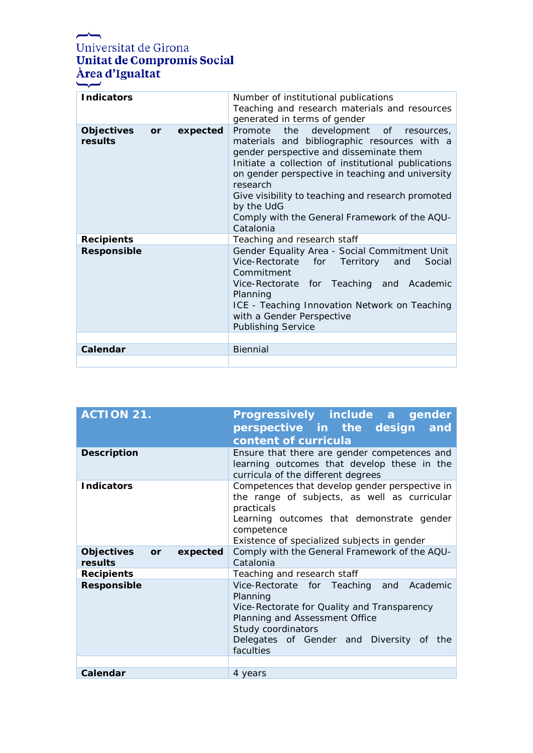| <b>Indicators</b>                                     | Number of institutional publications<br>Teaching and research materials and resources<br>generated in terms of gender                                                                                                                                                                                                                                                                    |
|-------------------------------------------------------|------------------------------------------------------------------------------------------------------------------------------------------------------------------------------------------------------------------------------------------------------------------------------------------------------------------------------------------------------------------------------------------|
| <b>Objectives</b><br>expected<br><b>or</b><br>results | Promote the development of resources,<br>materials and bibliographic resources with a<br>gender perspective and disseminate them<br>Initiate a collection of institutional publications<br>on gender perspective in teaching and university<br>research<br>Give visibility to teaching and research promoted<br>by the UdG<br>Comply with the General Framework of the AQU-<br>Catalonia |
| <b>Recipients</b>                                     | Teaching and research staff                                                                                                                                                                                                                                                                                                                                                              |
| Responsible                                           | Gender Equality Area - Social Commitment Unit<br>Vice-Rectorate for<br>Territory<br>and<br>Social<br>Commitment<br>Vice-Rectorate for Teaching and Academic<br>Planning<br>ICE - Teaching Innovation Network on Teaching<br>with a Gender Perspective<br><b>Publishing Service</b>                                                                                                       |
|                                                       |                                                                                                                                                                                                                                                                                                                                                                                          |
| Calendar                                              | <b>Biennial</b>                                                                                                                                                                                                                                                                                                                                                                          |
|                                                       |                                                                                                                                                                                                                                                                                                                                                                                          |

| <b>ACTION 21.</b>                                     | Progressively include a gender<br>perspective in the design and<br>content of curricula                                                                                                                                |
|-------------------------------------------------------|------------------------------------------------------------------------------------------------------------------------------------------------------------------------------------------------------------------------|
| <b>Description</b>                                    | Ensure that there are gender competences and<br>learning outcomes that develop these in the<br>curricula of the different degrees                                                                                      |
| <b>Indicators</b>                                     | Competences that develop gender perspective in<br>the range of subjects, as well as curricular<br>practicals<br>Learning outcomes that demonstrate gender<br>competence<br>Existence of specialized subjects in gender |
| <b>Objectives</b><br>expected<br><b>or</b><br>results | Comply with the General Framework of the AQU-<br>Catalonia                                                                                                                                                             |
| <b>Recipients</b>                                     | Teaching and research staff                                                                                                                                                                                            |
| <b>Responsible</b>                                    | Vice-Rectorate for Teaching and Academic<br>Planning<br>Vice-Rectorate for Quality and Transparency<br>Planning and Assessment Office<br>Study coordinators<br>Delegates of Gender and Diversity of the<br>faculties   |
|                                                       |                                                                                                                                                                                                                        |
| Calendar                                              | 4 years                                                                                                                                                                                                                |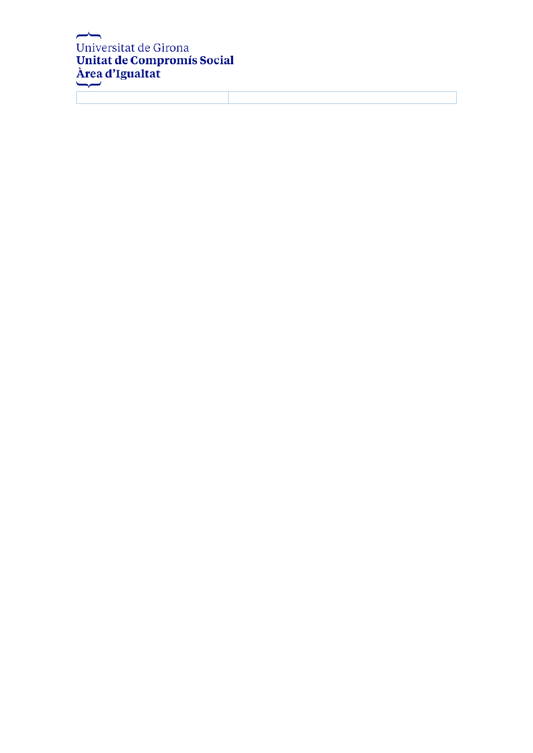| $\overline{\phantom{m}}$   |
|----------------------------|
| Universitat de Girona      |
| Unitat de Compromís Social |
| Àrea d'Igualtat            |
| $\overline{\phantom{m}}$   |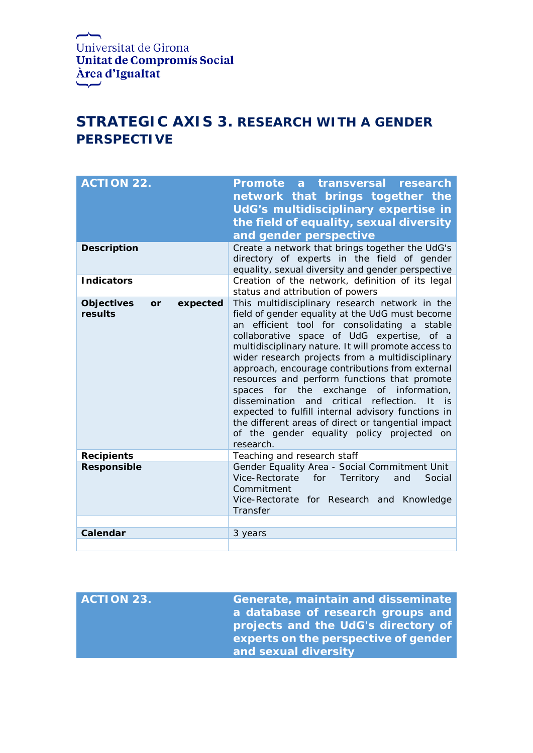## **STRATEGIC AXIS 3. RESEARCH WITH A GENDER PERSPECTIVE**

| <b>ACTION 22.</b>                              | Promote a transversal research<br>network that brings together the<br>UdG's multidisciplinary expertise in<br>the field of equality, sexual diversity<br>and gender perspective                                                                                                                                                                                                                                                                                                                                                                                                                                                                                                                          |
|------------------------------------------------|----------------------------------------------------------------------------------------------------------------------------------------------------------------------------------------------------------------------------------------------------------------------------------------------------------------------------------------------------------------------------------------------------------------------------------------------------------------------------------------------------------------------------------------------------------------------------------------------------------------------------------------------------------------------------------------------------------|
| <b>Description</b>                             | Create a network that brings together the UdG's<br>directory of experts in the field of gender<br>equality, sexual diversity and gender perspective                                                                                                                                                                                                                                                                                                                                                                                                                                                                                                                                                      |
| <b>Indicators</b>                              | Creation of the network, definition of its legal<br>status and attribution of powers                                                                                                                                                                                                                                                                                                                                                                                                                                                                                                                                                                                                                     |
| <b>Objectives</b><br>expected<br>or<br>results | This multidisciplinary research network in the<br>field of gender equality at the UdG must become<br>efficient tool for consolidating a stable<br>an<br>collaborative space of UdG expertise, of a<br>multidisciplinary nature. It will promote access to<br>wider research projects from a multidisciplinary<br>approach, encourage contributions from external<br>resources and perform functions that promote<br>spaces for the exchange<br>of information,<br>critical reflection.<br>dissemination<br>and<br>It<br><i>is</i><br>expected to fulfill internal advisory functions in<br>the different areas of direct or tangential impact<br>of the gender equality policy projected on<br>research. |
| <b>Recipients</b>                              | Teaching and research staff                                                                                                                                                                                                                                                                                                                                                                                                                                                                                                                                                                                                                                                                              |
| <b>Responsible</b>                             | Gender Equality Area - Social Commitment Unit<br>Vice-Rectorate<br>for<br>Territory<br>Social<br>and<br>Commitment<br>Vice-Rectorate for Research and Knowledge<br>Transfer                                                                                                                                                                                                                                                                                                                                                                                                                                                                                                                              |
|                                                |                                                                                                                                                                                                                                                                                                                                                                                                                                                                                                                                                                                                                                                                                                          |
| Calendar                                       | 3 years                                                                                                                                                                                                                                                                                                                                                                                                                                                                                                                                                                                                                                                                                                  |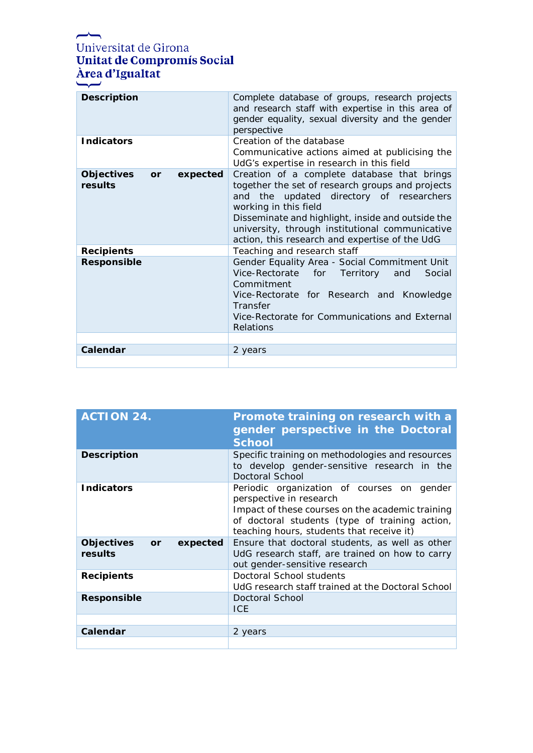| <b>Description</b>                                    | Complete database of groups, research projects<br>and research staff with expertise in this area of<br>gender equality, sexual diversity and the gender<br>perspective                                                                                                                                                         |
|-------------------------------------------------------|--------------------------------------------------------------------------------------------------------------------------------------------------------------------------------------------------------------------------------------------------------------------------------------------------------------------------------|
| <b>Indicators</b>                                     | Creation of the database<br>Communicative actions aimed at publicising the<br>UdG's expertise in research in this field                                                                                                                                                                                                        |
| <b>Objectives</b><br>expected<br><b>or</b><br>results | Creation of a complete database that brings<br>together the set of research groups and projects<br>and the updated directory of researchers<br>working in this field<br>Disseminate and highlight, inside and outside the<br>university, through institutional communicative<br>action, this research and expertise of the UdG |
| <b>Recipients</b>                                     | Teaching and research staff                                                                                                                                                                                                                                                                                                    |
| <b>Responsible</b>                                    | Gender Equality Area - Social Commitment Unit<br>Vice-Rectorate for<br>Territory<br>and<br>Social<br>Commitment<br>Vice-Rectorate for Research and Knowledge<br>Transfer<br>Vice-Rectorate for Communications and External<br>Relations                                                                                        |
|                                                       |                                                                                                                                                                                                                                                                                                                                |
| Calendar                                              | 2 years                                                                                                                                                                                                                                                                                                                        |
|                                                       |                                                                                                                                                                                                                                                                                                                                |

| <b>ACTION 24.</b>                                     | Promote training on research with a<br>gender perspective in the Doctoral<br><b>School</b>                                                                                                                               |
|-------------------------------------------------------|--------------------------------------------------------------------------------------------------------------------------------------------------------------------------------------------------------------------------|
| <b>Description</b>                                    | Specific training on methodologies and resources<br>to develop gender-sensitive research in the<br>Doctoral School                                                                                                       |
| <b>Indicators</b>                                     | Periodic organization of courses on gender<br>perspective in research<br>Impact of these courses on the academic training<br>of doctoral students (type of training action,<br>teaching hours, students that receive it) |
| <b>Objectives</b><br>expected<br><b>or</b><br>results | Ensure that doctoral students, as well as other<br>UdG research staff, are trained on how to carry<br>out gender-sensitive research                                                                                      |
| <b>Recipients</b>                                     | Doctoral School students<br>UdG research staff trained at the Doctoral School                                                                                                                                            |
| <b>Responsible</b>                                    | Doctoral School<br><b>ICE</b>                                                                                                                                                                                            |
|                                                       |                                                                                                                                                                                                                          |
| Calendar                                              | 2 years                                                                                                                                                                                                                  |
|                                                       |                                                                                                                                                                                                                          |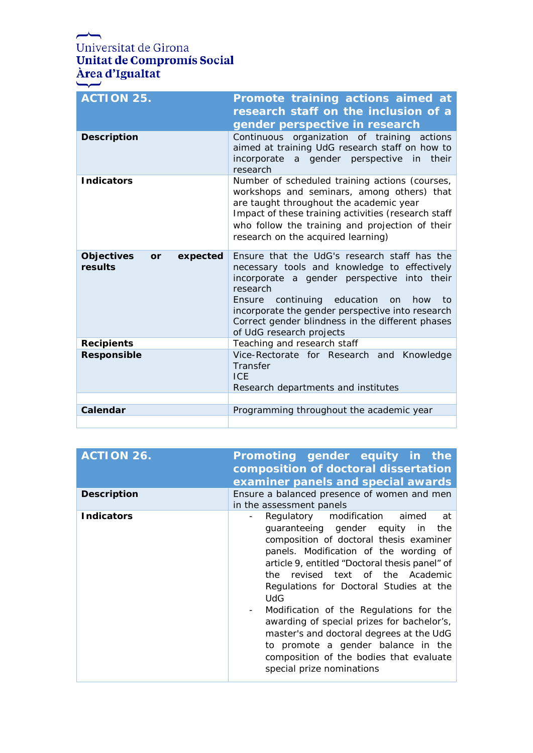| <b>ACTION 25.</b>                                     | Promote training actions aimed at<br>research staff on the inclusion of a<br>gender perspective in research                                                                                                                                                                                                                                    |
|-------------------------------------------------------|------------------------------------------------------------------------------------------------------------------------------------------------------------------------------------------------------------------------------------------------------------------------------------------------------------------------------------------------|
| <b>Description</b>                                    | Continuous organization of training actions<br>aimed at training UdG research staff on how to<br>incorporate a gender perspective in their<br>research                                                                                                                                                                                         |
| <b>Indicators</b>                                     | Number of scheduled training actions (courses,<br>workshops and seminars, among others) that<br>are taught throughout the academic year<br>Impact of these training activities (research staff<br>who follow the training and projection of their<br>research on the acquired learning)                                                        |
| <b>Objectives</b><br>expected<br><b>or</b><br>results | Ensure that the UdG's research staff has the<br>necessary tools and knowledge to effectively<br>incorporate a gender perspective into their<br>research<br>Ensure continuing education<br>on.<br>how<br>to<br>incorporate the gender perspective into research<br>Correct gender blindness in the different phases<br>of UdG research projects |
| <b>Recipients</b>                                     | Teaching and research staff                                                                                                                                                                                                                                                                                                                    |
| <b>Responsible</b>                                    | Vice-Rectorate for Research and Knowledge<br>Transfer<br><b>ICE</b><br>Research departments and institutes                                                                                                                                                                                                                                     |
| Calendar                                              |                                                                                                                                                                                                                                                                                                                                                |
|                                                       | Programming throughout the academic year                                                                                                                                                                                                                                                                                                       |

| <b>ACTION 26.</b>  | Promoting gender equity in the<br>composition of doctoral dissertation<br>examiner panels and special awards                                                                                                                                                                                                                                                                                                                                                                                                                                                       |
|--------------------|--------------------------------------------------------------------------------------------------------------------------------------------------------------------------------------------------------------------------------------------------------------------------------------------------------------------------------------------------------------------------------------------------------------------------------------------------------------------------------------------------------------------------------------------------------------------|
| <b>Description</b> | Ensure a balanced presence of women and men<br>in the assessment panels                                                                                                                                                                                                                                                                                                                                                                                                                                                                                            |
| <b>Indicators</b>  | Regulatory modification aimed<br>at<br>guaranteeing gender equity in<br>the<br>composition of doctoral thesis examiner<br>panels. Modification of the wording of<br>article 9, entitled "Doctoral thesis panel" of<br>the revised text of the Academic<br>Regulations for Doctoral Studies at the<br><b>UdG</b><br>Modification of the Regulations for the<br>awarding of special prizes for bachelor's,<br>master's and doctoral degrees at the UdG<br>to promote a gender balance in the<br>composition of the bodies that evaluate<br>special prize nominations |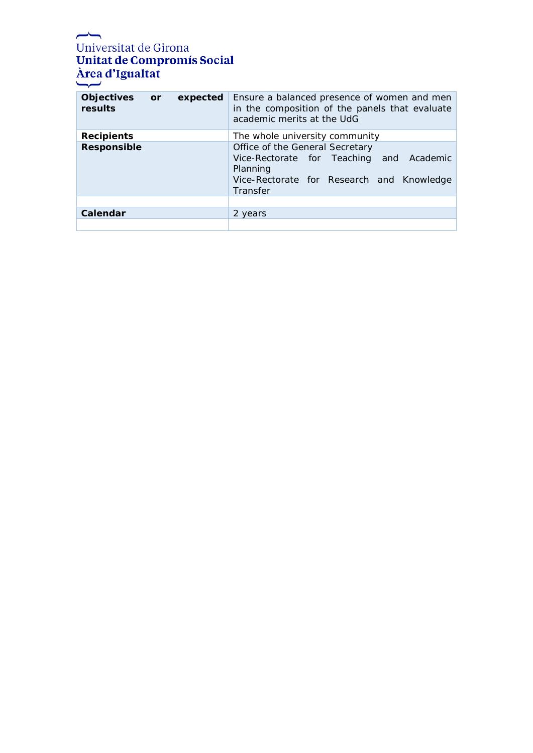| Objectives or<br>results | expected | Ensure a balanced presence of women and men<br>in the composition of the panels that evaluate<br>academic merits at the UdG                      |
|--------------------------|----------|--------------------------------------------------------------------------------------------------------------------------------------------------|
| <b>Recipients</b>        |          | The whole university community                                                                                                                   |
| Responsible              |          | Office of the General Secretary<br>Vice-Rectorate for Teaching and Academic<br>Planning<br>Vice-Rectorate for Research and Knowledge<br>Transfer |
| Calendar                 |          | 2 years                                                                                                                                          |
|                          |          |                                                                                                                                                  |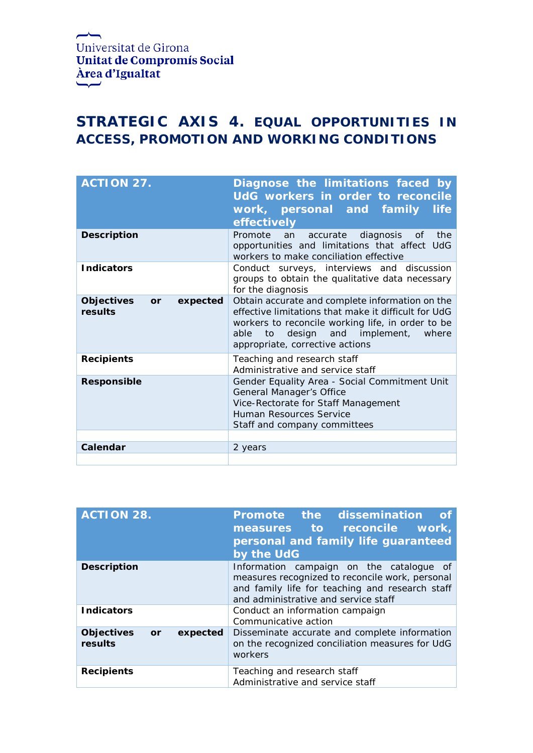## **STRATEGIC AXIS 4. EQUAL OPPORTUNITIES IN ACCESS, PROMOTION AND WORKING CONDITIONS**

| <b>ACTION 27.</b>                              | Diagnose the limitations faced by<br>UdG workers in order to reconcile<br>work, personal and family life<br>effectively                                                                                                                      |
|------------------------------------------------|----------------------------------------------------------------------------------------------------------------------------------------------------------------------------------------------------------------------------------------------|
| <b>Description</b>                             | Promote an accurate diagnosis of<br>the<br>opportunities and limitations that affect UdG<br>workers to make conciliation effective                                                                                                           |
| <b>Indicators</b>                              | Conduct surveys, interviews and discussion<br>groups to obtain the qualitative data necessary<br>for the diagnosis                                                                                                                           |
| <b>Objectives</b><br>expected<br>or<br>results | Obtain accurate and complete information on the<br>effective limitations that make it difficult for UdG<br>workers to reconcile working life, in order to be<br>design and implement, where<br>able<br>to<br>appropriate, corrective actions |
| <b>Recipients</b>                              | Teaching and research staff<br>Administrative and service staff                                                                                                                                                                              |
| <b>Responsible</b>                             | Gender Equality Area - Social Commitment Unit<br>General Manager's Office<br>Vice-Rectorate for Staff Management<br>Human Resources Service<br>Staff and company committees                                                                  |
|                                                |                                                                                                                                                                                                                                              |
| Calendar                                       | 2 years                                                                                                                                                                                                                                      |
|                                                |                                                                                                                                                                                                                                              |

| <b>ACTION 28.</b>                                     | Promote the dissemination of<br>measures to reconcile work,<br>personal and family life guaranteed<br>by the UdG                                                                       |
|-------------------------------------------------------|----------------------------------------------------------------------------------------------------------------------------------------------------------------------------------------|
| <b>Description</b>                                    | Information campaign on the catalogue of<br>measures recognized to reconcile work, personal<br>and family life for teaching and research staff<br>and administrative and service staff |
| <b>Indicators</b>                                     | Conduct an information campaign<br>Communicative action                                                                                                                                |
| <b>Objectives</b><br>expected<br><b>or</b><br>results | Disseminate accurate and complete information<br>on the recognized conciliation measures for UdG<br>workers                                                                            |
| <b>Recipients</b>                                     | Teaching and research staff<br>Administrative and service staff                                                                                                                        |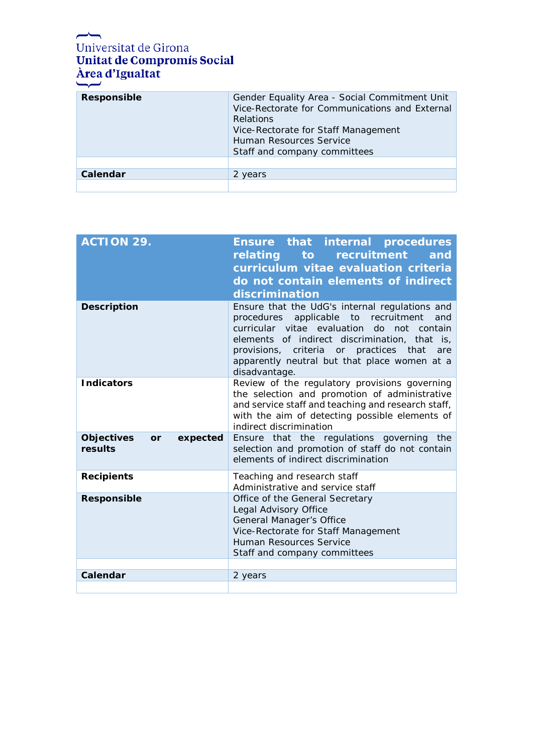| Responsible | Gender Equality Area - Social Commitment Unit<br>Vice-Rectorate for Communications and External<br>Relations<br>Vice-Rectorate for Staff Management<br><b>Human Resources Service</b><br>Staff and company committees |
|-------------|-----------------------------------------------------------------------------------------------------------------------------------------------------------------------------------------------------------------------|
|             |                                                                                                                                                                                                                       |
| Calendar    | 2 years                                                                                                                                                                                                               |
|             |                                                                                                                                                                                                                       |

| <b>ACTION 29.</b>                              | Ensure that internal procedures<br>to recruitment<br><b>relating</b><br>and<br>curriculum vitae evaluation criteria<br>do not contain elements of indirect<br>discrimination                                                                                                                                                  |
|------------------------------------------------|-------------------------------------------------------------------------------------------------------------------------------------------------------------------------------------------------------------------------------------------------------------------------------------------------------------------------------|
| <b>Description</b>                             | Ensure that the UdG's internal regulations and<br>applicable to<br>recruitment<br>procedures<br>and<br>curricular vitae evaluation<br>do<br>not<br>contain<br>elements of indirect discrimination, that is,<br>provisions, criteria or practices that<br>are<br>apparently neutral but that place women at a<br>disadvantage. |
| <b>Indicators</b>                              | Review of the regulatory provisions governing<br>the selection and promotion of administrative<br>and service staff and teaching and research staff,<br>with the aim of detecting possible elements of<br>indirect discrimination                                                                                             |
| <b>Objectives</b><br>expected<br>or<br>results | Ensure that the regulations governing the<br>selection and promotion of staff do not contain<br>elements of indirect discrimination                                                                                                                                                                                           |
| <b>Recipients</b>                              | Teaching and research staff<br>Administrative and service staff                                                                                                                                                                                                                                                               |
| <b>Responsible</b>                             | Office of the General Secretary<br>Legal Advisory Office<br><b>General Manager's Office</b><br>Vice-Rectorate for Staff Management<br><b>Human Resources Service</b><br>Staff and company committees                                                                                                                          |
| Calendar                                       |                                                                                                                                                                                                                                                                                                                               |
|                                                | 2 years                                                                                                                                                                                                                                                                                                                       |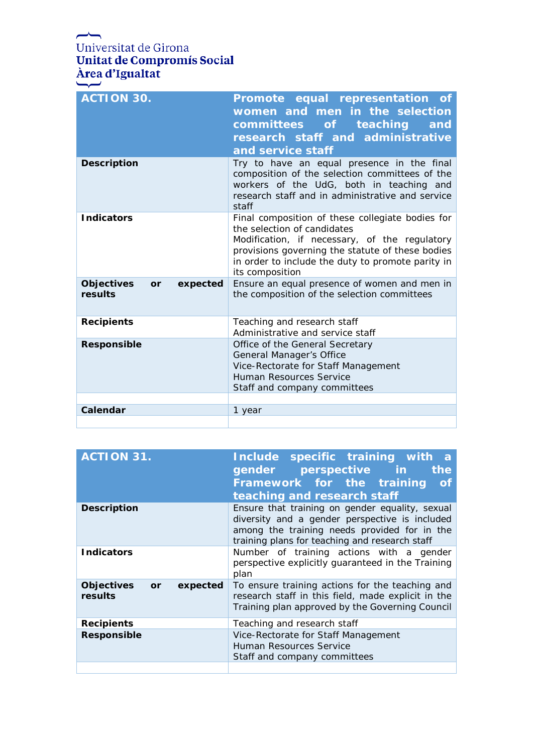| <b>ACTION 30.</b>                                     | Promote equal representation of<br>women and men in the selection<br>committees of teaching<br>and<br>research staff and administrative<br>and service staff                                                                                                 |
|-------------------------------------------------------|--------------------------------------------------------------------------------------------------------------------------------------------------------------------------------------------------------------------------------------------------------------|
| <b>Description</b>                                    | Try to have an equal presence in the final<br>composition of the selection committees of the<br>workers of the UdG, both in teaching and<br>research staff and in administrative and service<br>staff                                                        |
| <b>Indicators</b>                                     | Final composition of these collegiate bodies for<br>the selection of candidates<br>Modification, if necessary, of the regulatory<br>provisions governing the statute of these bodies<br>in order to include the duty to promote parity in<br>its composition |
| <b>Objectives</b><br>expected<br><b>or</b><br>results | Ensure an equal presence of women and men in<br>the composition of the selection committees                                                                                                                                                                  |
| <b>Recipients</b>                                     | Teaching and research staff<br>Administrative and service staff                                                                                                                                                                                              |
| Responsible                                           | Office of the General Secretary<br><b>General Manager's Office</b><br>Vice-Rectorate for Staff Management<br>Human Resources Service<br>Staff and company committees                                                                                         |
| Calendar                                              | 1 year                                                                                                                                                                                                                                                       |
|                                                       |                                                                                                                                                                                                                                                              |

| <b>ACTION 31.</b>                                     | Include specific training with a<br>gender perspective in<br>the<br>Framework for the training<br>of<br>teaching and research staff                                                                 |
|-------------------------------------------------------|-----------------------------------------------------------------------------------------------------------------------------------------------------------------------------------------------------|
| <b>Description</b>                                    | Ensure that training on gender equality, sexual<br>diversity and a gender perspective is included<br>among the training needs provided for in the<br>training plans for teaching and research staff |
| <b>Indicators</b>                                     | Number of training actions with a gender<br>perspective explicitly guaranteed in the Training<br>plan                                                                                               |
| <b>Objectives</b><br>expected<br><b>or</b><br>results | To ensure training actions for the teaching and<br>research staff in this field, made explicit in the<br>Training plan approved by the Governing Council                                            |
| <b>Recipients</b>                                     | Teaching and research staff                                                                                                                                                                         |
| Responsible                                           | Vice-Rectorate for Staff Management<br>Human Resources Service<br>Staff and company committees                                                                                                      |
|                                                       |                                                                                                                                                                                                     |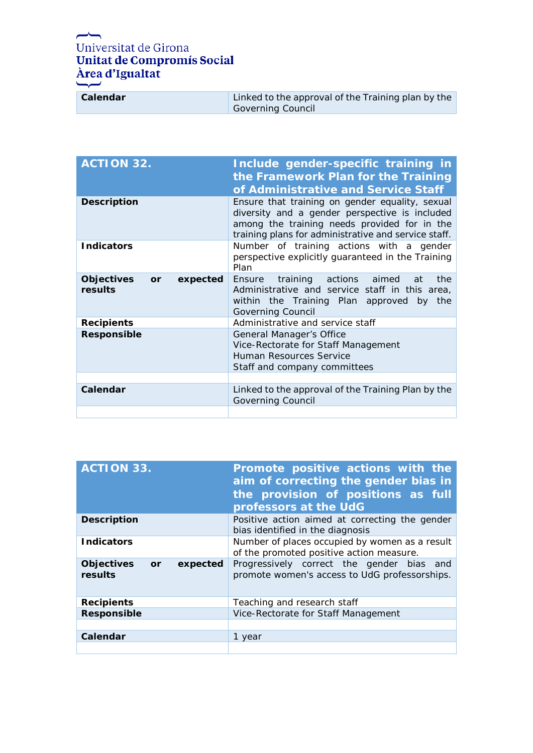| <b>Calendar</b> | Linked to the approval of the Training plan by the |
|-----------------|----------------------------------------------------|
|                 | Governing Council                                  |

| <b>ACTION 32.</b>                       | Include gender-specific training in<br>the Framework Plan for the Training<br>of Administrative and Service Staff                                                                                         |
|-----------------------------------------|-----------------------------------------------------------------------------------------------------------------------------------------------------------------------------------------------------------|
| <b>Description</b>                      | Ensure that training on gender equality, sexual<br>diversity and a gender perspective is included<br>among the training needs provided for in the<br>training plans for administrative and service staff. |
| <b>Indicators</b>                       | Number of training actions with a gender<br>perspective explicitly guaranteed in the Training<br>Plan                                                                                                     |
| Objectives<br>expected<br>or<br>results | training actions aimed<br>Ensure<br>the.<br>at<br>Administrative and service staff in this area,<br>within the Training Plan approved by the<br><b>Governing Council</b>                                  |
| <b>Recipients</b>                       | Administrative and service staff                                                                                                                                                                          |
| Responsible                             | General Manager's Office<br>Vice-Rectorate for Staff Management<br>Human Resources Service<br>Staff and company committees                                                                                |
|                                         |                                                                                                                                                                                                           |
| Calendar                                | Linked to the approval of the Training Plan by the<br><b>Governing Council</b>                                                                                                                            |
|                                         |                                                                                                                                                                                                           |

| <b>ACTION 33.</b>                                     | Promote positive actions with the<br>aim of correcting the gender bias in<br>the provision of positions as full<br>professors at the UdG |
|-------------------------------------------------------|------------------------------------------------------------------------------------------------------------------------------------------|
| <b>Description</b>                                    | Positive action aimed at correcting the gender<br>bias identified in the diagnosis                                                       |
| <b>Indicators</b>                                     | Number of places occupied by women as a result<br>of the promoted positive action measure.                                               |
| <b>Objectives</b><br>expected<br><b>or</b><br>results | Progressively correct the gender bias and<br>promote women's access to UdG professorships.                                               |
| <b>Recipients</b>                                     | Teaching and research staff                                                                                                              |
| <b>Responsible</b>                                    | Vice-Rectorate for Staff Management                                                                                                      |
|                                                       |                                                                                                                                          |
| Calendar                                              | 1 year                                                                                                                                   |
|                                                       |                                                                                                                                          |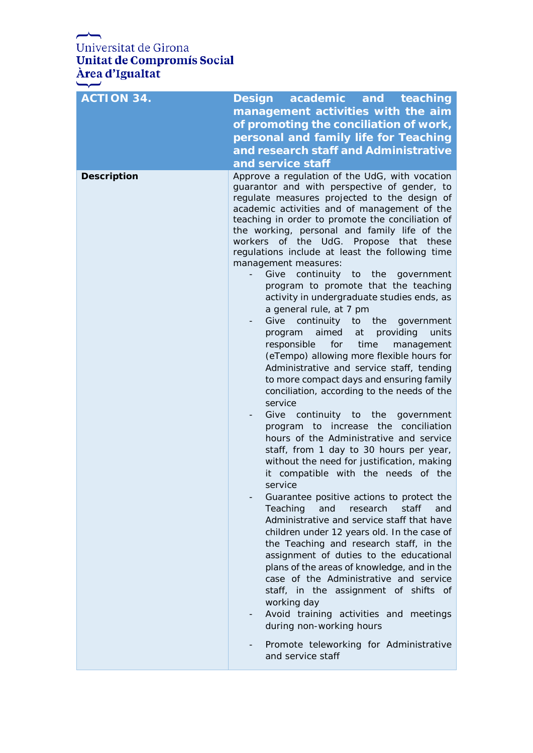| <b>ACTION 34.</b>  | Design academic and teaching<br>management activities with the aim<br>of promoting the conciliation of work,<br>personal and family life for Teaching                                                                                                                                                                                                                                                                                                                                                                                                                                                                                                                                                                                                                                                                                                                                                                                                                                                                                                                                                                                                                                                                                                                                                                                                                                                                                                                                                                                                                                                                                                                                                                                                                     |
|--------------------|---------------------------------------------------------------------------------------------------------------------------------------------------------------------------------------------------------------------------------------------------------------------------------------------------------------------------------------------------------------------------------------------------------------------------------------------------------------------------------------------------------------------------------------------------------------------------------------------------------------------------------------------------------------------------------------------------------------------------------------------------------------------------------------------------------------------------------------------------------------------------------------------------------------------------------------------------------------------------------------------------------------------------------------------------------------------------------------------------------------------------------------------------------------------------------------------------------------------------------------------------------------------------------------------------------------------------------------------------------------------------------------------------------------------------------------------------------------------------------------------------------------------------------------------------------------------------------------------------------------------------------------------------------------------------------------------------------------------------------------------------------------------------|
|                    | and research staff and Administrative<br>and service staff                                                                                                                                                                                                                                                                                                                                                                                                                                                                                                                                                                                                                                                                                                                                                                                                                                                                                                                                                                                                                                                                                                                                                                                                                                                                                                                                                                                                                                                                                                                                                                                                                                                                                                                |
| <b>Description</b> | Approve a regulation of the UdG, with vocation<br>guarantor and with perspective of gender, to<br>regulate measures projected to the design of<br>academic activities and of management of the<br>teaching in order to promote the conciliation of<br>the working, personal and family life of the<br>workers of the UdG. Propose that these<br>regulations include at least the following time<br>management measures:<br>continuity to the government<br>Give<br>program to promote that the teaching<br>activity in undergraduate studies ends, as<br>a general rule, at 7 pm<br>Give continuity to the<br>government<br>aimed<br>providing<br>units<br>program<br>at<br>responsible<br>for<br>time<br>management<br>(eTempo) allowing more flexible hours for<br>Administrative and service staff, tending<br>to more compact days and ensuring family<br>conciliation, according to the needs of the<br>service<br>Give<br>continuity to the<br>government<br>program to increase the conciliation<br>hours of the Administrative and service<br>staff, from 1 day to 30 hours per year,<br>without the need for justification, making<br>it compatible with the needs of the<br>service<br>Guarantee positive actions to protect the<br>Teaching<br>and<br>staff<br>research<br>and<br>Administrative and service staff that have<br>children under 12 years old. In the case of<br>the Teaching and research staff, in the<br>assignment of duties to the educational<br>plans of the areas of knowledge, and in the<br>case of the Administrative and service<br>staff, in the assignment of shifts of<br>working day<br>Avoid training activities and meetings<br>during non-working hours<br>Promote teleworking for Administrative<br>$\overline{\phantom{a}}$ |
|                    | and service staff                                                                                                                                                                                                                                                                                                                                                                                                                                                                                                                                                                                                                                                                                                                                                                                                                                                                                                                                                                                                                                                                                                                                                                                                                                                                                                                                                                                                                                                                                                                                                                                                                                                                                                                                                         |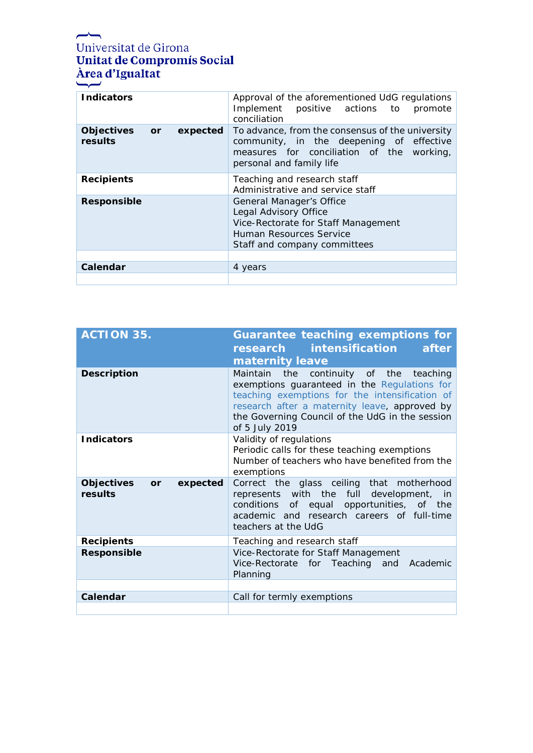| <b>Indicators</b>        |          | Approval of the aforementioned UdG regulations<br>Implement positive actions to promote<br>conciliation                                                               |
|--------------------------|----------|-----------------------------------------------------------------------------------------------------------------------------------------------------------------------|
| Objectives or<br>results | expected | To advance, from the consensus of the university<br>community, in the deepening of effective<br>measures for conciliation of the working,<br>personal and family life |
| <b>Recipients</b>        |          | Teaching and research staff<br>Administrative and service staff                                                                                                       |
| Responsible              |          | General Manager's Office<br>Legal Advisory Office<br>Vice-Rectorate for Staff Management<br>Human Resources Service<br>Staff and company committees                   |
|                          |          |                                                                                                                                                                       |
| Calendar                 |          | 4 years                                                                                                                                                               |
|                          |          |                                                                                                                                                                       |

| <b>ACTION 35.</b>                              | <b>Guarantee teaching exemptions for</b><br>research intensification<br>after<br>maternity leave                                                                                                                                                                      |
|------------------------------------------------|-----------------------------------------------------------------------------------------------------------------------------------------------------------------------------------------------------------------------------------------------------------------------|
| <b>Description</b>                             | Maintain<br>the<br>continuity of the teaching<br>exemptions guaranteed in the Regulations for<br>teaching exemptions for the intensification of<br>research after a maternity leave, approved by<br>the Governing Council of the UdG in the session<br>of 5 July 2019 |
| <b>Indicators</b>                              | Validity of regulations<br>Periodic calls for these teaching exemptions<br>Number of teachers who have benefited from the<br>exemptions                                                                                                                               |
| <b>Objectives</b><br>expected<br>or<br>results | Correct the glass ceiling that motherhood<br>represents with the full development, in<br>conditions<br>of equal opportunities, of the<br>academic and research careers of full-time<br>teachers at the UdG                                                            |
| <b>Recipients</b>                              | Teaching and research staff                                                                                                                                                                                                                                           |
| <b>Responsible</b>                             | Vice-Rectorate for Staff Management<br>Vice-Rectorate for Teaching and<br>Academic<br>Planning                                                                                                                                                                        |
|                                                |                                                                                                                                                                                                                                                                       |
| Calendar                                       | Call for termly exemptions                                                                                                                                                                                                                                            |
|                                                |                                                                                                                                                                                                                                                                       |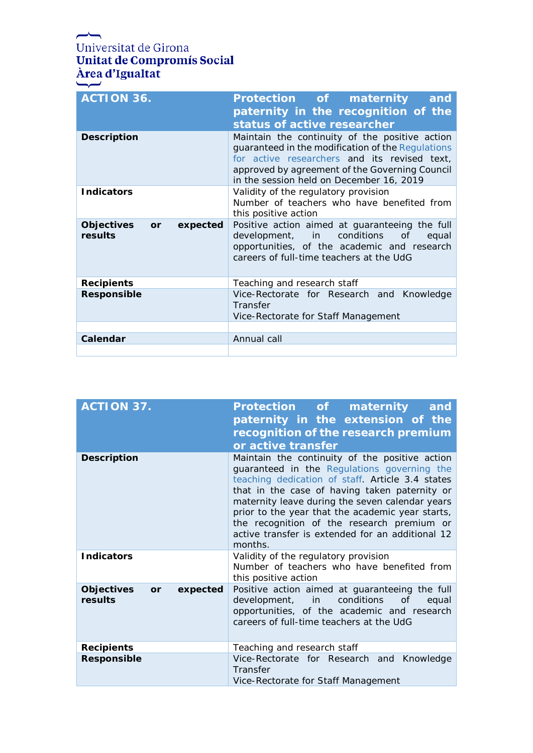∽

| <b>ACTION 36.</b>                              | Protection of maternity and<br>paternity in the recognition of the<br>status of active researcher                                                                                                                                                 |
|------------------------------------------------|---------------------------------------------------------------------------------------------------------------------------------------------------------------------------------------------------------------------------------------------------|
| <b>Description</b>                             | Maintain the continuity of the positive action<br>guaranteed in the modification of the Regulations<br>for active researchers and its revised text,<br>approved by agreement of the Governing Council<br>in the session held on December 16, 2019 |
| <b>Indicators</b>                              | Validity of the regulatory provision<br>Number of teachers who have benefited from<br>this positive action                                                                                                                                        |
| <b>Objectives</b><br>expected<br>or<br>results | Positive action aimed at guaranteeing the full<br>development, in conditions<br>0f<br>equal<br>opportunities, of the academic and research<br>careers of full-time teachers at the UdG                                                            |
| <b>Recipients</b>                              | Teaching and research staff                                                                                                                                                                                                                       |
| <b>Responsible</b>                             | Vice-Rectorate for Research and Knowledge<br>Transfer<br>Vice-Rectorate for Staff Management                                                                                                                                                      |
|                                                |                                                                                                                                                                                                                                                   |
| Calendar                                       | Annual call                                                                                                                                                                                                                                       |
|                                                |                                                                                                                                                                                                                                                   |

| <b>ACTION 37.</b>                                     | Protection of maternity<br>and<br>paternity in the extension of the<br>recognition of the research premium<br>or active transfer                                                                                                                                                                                                                                                                                       |
|-------------------------------------------------------|------------------------------------------------------------------------------------------------------------------------------------------------------------------------------------------------------------------------------------------------------------------------------------------------------------------------------------------------------------------------------------------------------------------------|
| <b>Description</b>                                    | Maintain the continuity of the positive action<br>guaranteed in the Regulations governing the<br>teaching dedication of staff. Article 3.4 states<br>that in the case of having taken paternity or<br>maternity leave during the seven calendar years<br>prior to the year that the academic year starts,<br>the recognition of the research premium or<br>active transfer is extended for an additional 12<br>months. |
| <b>Indicators</b>                                     | Validity of the regulatory provision<br>Number of teachers who have benefited from<br>this positive action                                                                                                                                                                                                                                                                                                             |
| <b>Objectives</b><br>expected<br><b>or</b><br>results | Positive action aimed at guaranteeing the full<br>development, in conditions<br>0f<br>equal<br>opportunities, of the academic and research<br>careers of full-time teachers at the UdG                                                                                                                                                                                                                                 |
| <b>Recipients</b>                                     | Teaching and research staff                                                                                                                                                                                                                                                                                                                                                                                            |
| <b>Responsible</b>                                    | Vice-Rectorate for Research and Knowledge<br>Transfer<br>Vice-Rectorate for Staff Management                                                                                                                                                                                                                                                                                                                           |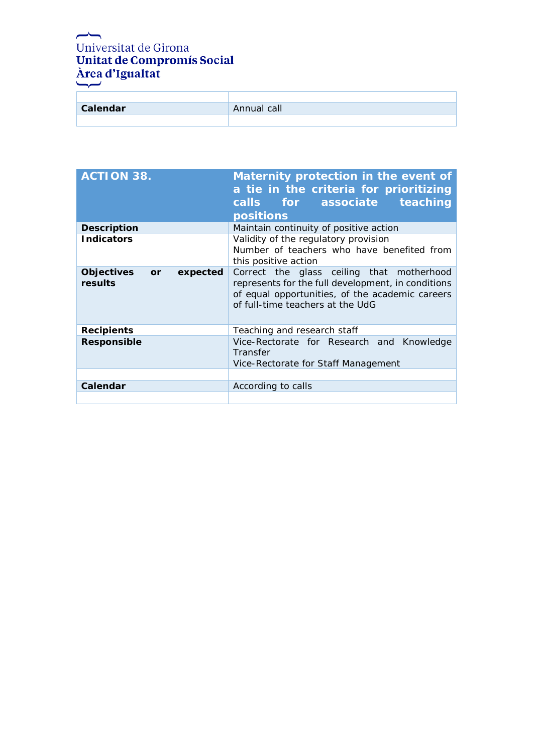| <b>Calendar</b> | Annual call |
|-----------------|-------------|
|                 |             |

| <b>ACTION 38.</b>                               | <b>Maternity protection in the event of</b><br>a tie in the criteria for prioritizing<br>calls for associate teaching<br><b>positions</b>                                              |
|-------------------------------------------------|----------------------------------------------------------------------------------------------------------------------------------------------------------------------------------------|
| <b>Description</b>                              | Maintain continuity of positive action                                                                                                                                                 |
| <b>Indicators</b>                               | Validity of the regulatory provision<br>Number of teachers who have benefited from<br>this positive action                                                                             |
| <b>Objectives</b><br>expected<br>or.<br>results | Correct the glass ceiling that motherhood<br>represents for the full development, in conditions<br>of equal opportunities, of the academic careers<br>of full-time teachers at the UdG |
| <b>Recipients</b>                               | Teaching and research staff                                                                                                                                                            |
| <b>Responsible</b>                              | Vice-Rectorate for Research and Knowledge<br>Transfer<br>Vice-Rectorate for Staff Management                                                                                           |
|                                                 |                                                                                                                                                                                        |
| Calendar                                        | According to calls                                                                                                                                                                     |
|                                                 |                                                                                                                                                                                        |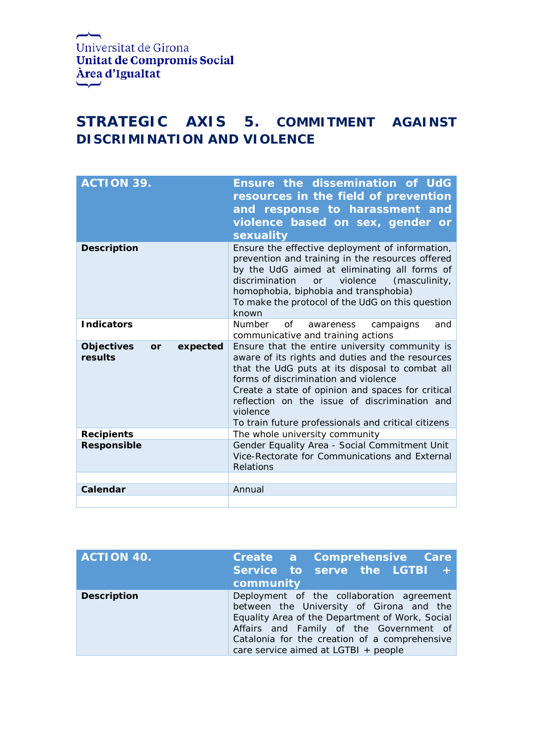## **STRATEGIC AXIS 5. COMMITMENT AGAINST DISCRIMINATION AND VIOLENCE**

| <b>ACTION 39.</b>                              | Ensure the dissemination of UdG<br>resources in the field of prevention<br>and response to harassment and<br>violence based on sex, gender or<br>sexuality                                                                                                                                                                                                             |
|------------------------------------------------|------------------------------------------------------------------------------------------------------------------------------------------------------------------------------------------------------------------------------------------------------------------------------------------------------------------------------------------------------------------------|
| <b>Description</b>                             | Ensure the effective deployment of information,<br>prevention and training in the resources offered<br>by the UdG aimed at eliminating all forms of<br>violence<br>discrimination<br><b>or</b><br>(masculinity,<br>homophobia, biphobia and transphobia)<br>To make the protocol of the UdG on this question<br>known                                                  |
| <b>Indicators</b>                              | Number<br>0f<br>and<br>awareness<br>campaigns<br>communicative and training actions                                                                                                                                                                                                                                                                                    |
| <b>Objectives</b><br>expected<br>or<br>results | Ensure that the entire university community is<br>aware of its rights and duties and the resources<br>that the UdG puts at its disposal to combat all<br>forms of discrimination and violence<br>Create a state of opinion and spaces for critical<br>reflection on the issue of discrimination and<br>violence<br>To train future professionals and critical citizens |
| <b>Recipients</b>                              | The whole university community                                                                                                                                                                                                                                                                                                                                         |
| <b>Responsible</b>                             | Gender Equality Area - Social Commitment Unit<br>Vice-Rectorate for Communications and External<br>Relations                                                                                                                                                                                                                                                           |
|                                                |                                                                                                                                                                                                                                                                                                                                                                        |
| Calendar                                       | Annual                                                                                                                                                                                                                                                                                                                                                                 |
|                                                |                                                                                                                                                                                                                                                                                                                                                                        |

| <b>ACTION 40.</b>  | Create a Comprehensive Care<br>Service to serve the LGTBI +<br>community                                                                                                                                                                                                     |
|--------------------|------------------------------------------------------------------------------------------------------------------------------------------------------------------------------------------------------------------------------------------------------------------------------|
| <b>Description</b> | Deployment of the collaboration agreement<br>between the University of Girona and the<br>Equality Area of the Department of Work, Social<br>Affairs and Family of the Government of<br>Catalonia for the creation of a comprehensive<br>care service aimed at LGTBI + people |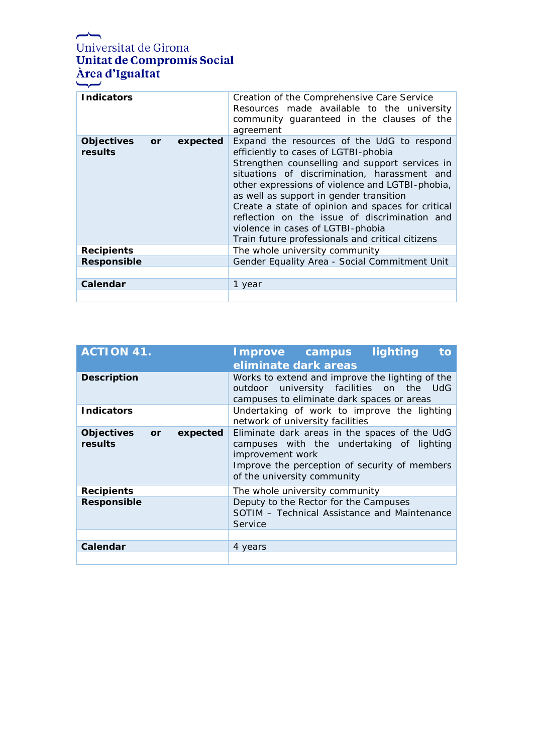| <b>Indicators</b>                              | Creation of the Comprehensive Care Service<br>Resources made available to the university<br>community guaranteed in the clauses of the<br>agreement                                                                                                                                                                                                                                                                                                                               |
|------------------------------------------------|-----------------------------------------------------------------------------------------------------------------------------------------------------------------------------------------------------------------------------------------------------------------------------------------------------------------------------------------------------------------------------------------------------------------------------------------------------------------------------------|
| <b>Objectives</b><br>expected<br>or<br>results | Expand the resources of the UdG to respond<br>efficiently to cases of LGTBI-phobia<br>Strengthen counselling and support services in<br>situations of discrimination, harassment and<br>other expressions of violence and LGTBI-phobia,<br>as well as support in gender transition<br>Create a state of opinion and spaces for critical<br>reflection on the issue of discrimination and<br>violence in cases of LGTBI-phobia<br>Train future professionals and critical citizens |
| <b>Recipients</b>                              | The whole university community                                                                                                                                                                                                                                                                                                                                                                                                                                                    |
| <b>Responsible</b>                             | Gender Equality Area - Social Commitment Unit                                                                                                                                                                                                                                                                                                                                                                                                                                     |
|                                                |                                                                                                                                                                                                                                                                                                                                                                                                                                                                                   |
| Calendar                                       | 1 year                                                                                                                                                                                                                                                                                                                                                                                                                                                                            |
|                                                |                                                                                                                                                                                                                                                                                                                                                                                                                                                                                   |

| <b>ACTION 41.</b>                                  | lighting<br>Improve campus<br>to                                                                                                                                                               |
|----------------------------------------------------|------------------------------------------------------------------------------------------------------------------------------------------------------------------------------------------------|
|                                                    | eliminate dark areas                                                                                                                                                                           |
| <b>Description</b>                                 | Works to extend and improve the lighting of the<br>outdoor university facilities on the UdG<br>campuses to eliminate dark spaces or areas                                                      |
| <b>Indicators</b>                                  | Undertaking of work to improve the lighting<br>network of university facilities                                                                                                                |
| Objectives<br>expected<br>$\mathbf{or}$<br>results | Eliminate dark areas in the spaces of the UdG<br>campuses with the undertaking of lighting<br>improvement work<br>Improve the perception of security of members<br>of the university community |
| <b>Recipients</b>                                  | The whole university community                                                                                                                                                                 |
| <b>Responsible</b>                                 | Deputy to the Rector for the Campuses<br>SOTIM - Technical Assistance and Maintenance<br>Service                                                                                               |
|                                                    |                                                                                                                                                                                                |
| Calendar                                           | 4 years                                                                                                                                                                                        |
|                                                    |                                                                                                                                                                                                |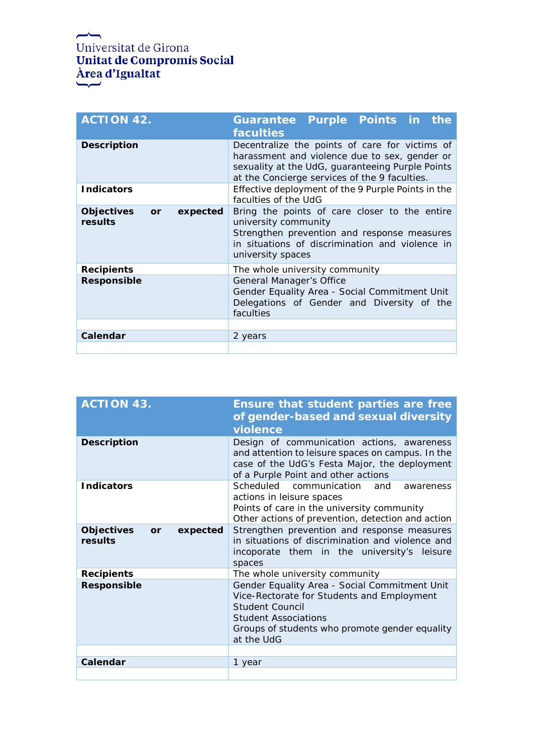| <b>ACTION 42.</b>                              | Guarantee Purple Points in the<br>faculties                                                                                                                                                          |
|------------------------------------------------|------------------------------------------------------------------------------------------------------------------------------------------------------------------------------------------------------|
| <b>Description</b>                             | Decentralize the points of care for victims of<br>harassment and violence due to sex, gender or<br>sexuality at the UdG, guaranteeing Purple Points<br>at the Concierge services of the 9 faculties. |
| <b>Indicators</b>                              | Effective deployment of the 9 Purple Points in the<br>faculties of the UdG                                                                                                                           |
| <b>Objectives</b><br>expected<br>or<br>results | Bring the points of care closer to the entire<br>university community<br>Strengthen prevention and response measures<br>in situations of discrimination and violence in<br>university spaces         |
| <b>Recipients</b>                              | The whole university community                                                                                                                                                                       |
| Responsible                                    | General Manager's Office<br>Gender Equality Area - Social Commitment Unit<br>Delegations of Gender and Diversity of the<br>faculties                                                                 |
|                                                |                                                                                                                                                                                                      |
| Calendar                                       | 2 years                                                                                                                                                                                              |

| <b>ACTION 43.</b>                              | Ensure that student parties are free<br>of gender-based and sexual diversity<br>violence                                                                                                                      |
|------------------------------------------------|---------------------------------------------------------------------------------------------------------------------------------------------------------------------------------------------------------------|
| <b>Description</b>                             | Design of communication actions, awareness<br>and attention to leisure spaces on campus. In the<br>case of the UdG's Festa Major, the deployment<br>of a Purple Point and other actions                       |
| <b>Indicators</b>                              | Scheduled communication<br>and<br>awareness<br>actions in leisure spaces<br>Points of care in the university community<br>Other actions of prevention, detection and action                                   |
| <b>Objectives</b><br>expected<br>or<br>results | Strengthen prevention and response measures<br>in situations of discrimination and violence and<br>incoporate them in the university's leisure<br>spaces                                                      |
| <b>Recipients</b>                              | The whole university community                                                                                                                                                                                |
| Responsible                                    | Gender Equality Area - Social Commitment Unit<br>Vice-Rectorate for Students and Employment<br>Student Council<br><b>Student Associations</b><br>Groups of students who promote gender equality<br>at the UdG |
|                                                |                                                                                                                                                                                                               |
| Calendar                                       | 1 year                                                                                                                                                                                                        |
|                                                |                                                                                                                                                                                                               |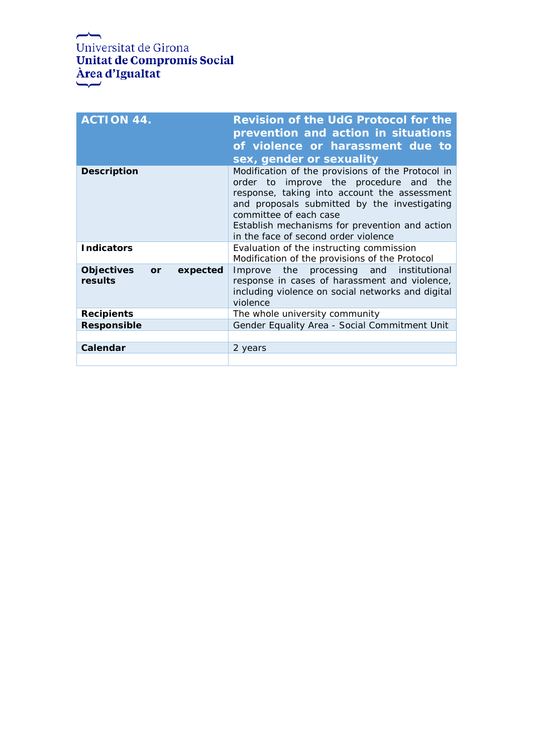| <b>ACTION 44.</b>                                     | <b>Revision of the UdG Protocol for the</b><br>prevention and action in situations<br>of violence or harassment due to<br>sex, gender or sexuality                                                                                                                                                              |
|-------------------------------------------------------|-----------------------------------------------------------------------------------------------------------------------------------------------------------------------------------------------------------------------------------------------------------------------------------------------------------------|
| <b>Description</b>                                    | Modification of the provisions of the Protocol in<br>order to improve the procedure and the<br>response, taking into account the assessment<br>and proposals submitted by the investigating<br>committee of each case<br>Establish mechanisms for prevention and action<br>in the face of second order violence |
| <b>Indicators</b>                                     | Evaluation of the instructing commission<br>Modification of the provisions of the Protocol                                                                                                                                                                                                                      |
| <b>Objectives</b><br>expected<br><b>or</b><br>results | the processing and institutional<br>Improve<br>response in cases of harassment and violence,<br>including violence on social networks and digital<br>violence                                                                                                                                                   |
| <b>Recipients</b>                                     | The whole university community                                                                                                                                                                                                                                                                                  |
| <b>Responsible</b>                                    | Gender Equality Area - Social Commitment Unit                                                                                                                                                                                                                                                                   |
|                                                       |                                                                                                                                                                                                                                                                                                                 |
| Calendar                                              | 2 years                                                                                                                                                                                                                                                                                                         |
|                                                       |                                                                                                                                                                                                                                                                                                                 |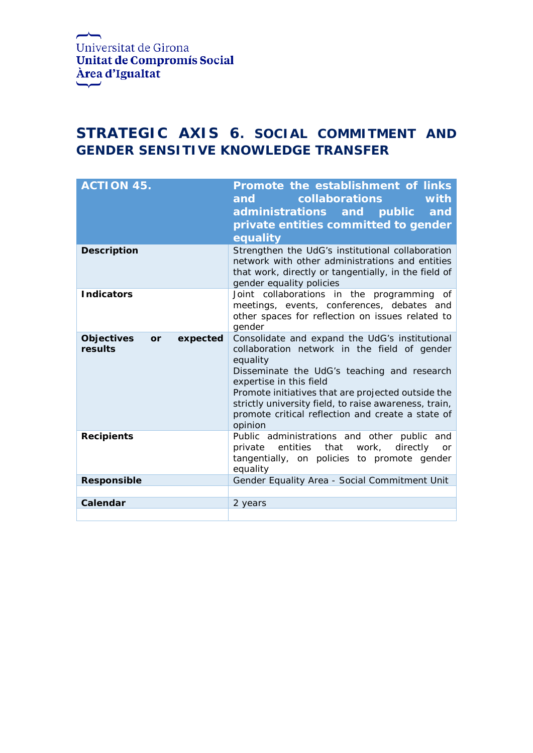## **STRATEGIC AXIS 6. SOCIAL COMMITMENT AND GENDER SENSITIVE KNOWLEDGE TRANSFER**

| <b>ACTION 45.</b>                              | Promote the establishment of links<br>collaborations<br>with<br>and <b>and</b><br>administrations and public and<br>private entities committed to gender<br>equality                                                                                                                                                                                                |
|------------------------------------------------|---------------------------------------------------------------------------------------------------------------------------------------------------------------------------------------------------------------------------------------------------------------------------------------------------------------------------------------------------------------------|
| <b>Description</b>                             | Strengthen the UdG's institutional collaboration<br>network with other administrations and entities<br>that work, directly or tangentially, in the field of<br>gender equality policies                                                                                                                                                                             |
| <b>Indicators</b>                              | Joint collaborations in the programming of<br>meetings, events, conferences, debates and<br>other spaces for reflection on issues related to<br>gender                                                                                                                                                                                                              |
| <b>Objectives</b><br>expected<br>or<br>results | Consolidate and expand the UdG's institutional<br>collaboration network in the field of gender<br>equality<br>Disseminate the UdG's teaching and research<br>expertise in this field<br>Promote initiatives that are projected outside the<br>strictly university field, to raise awareness, train,<br>promote critical reflection and create a state of<br>opinion |
| <b>Recipients</b>                              | Public administrations and other public and<br>entities<br>that<br>work,<br>directly<br>private<br><b>or</b><br>tangentially, on policies to promote gender<br>equality                                                                                                                                                                                             |
| <b>Responsible</b>                             | Gender Equality Area - Social Commitment Unit                                                                                                                                                                                                                                                                                                                       |
|                                                |                                                                                                                                                                                                                                                                                                                                                                     |
| Calendar                                       | 2 years                                                                                                                                                                                                                                                                                                                                                             |
|                                                |                                                                                                                                                                                                                                                                                                                                                                     |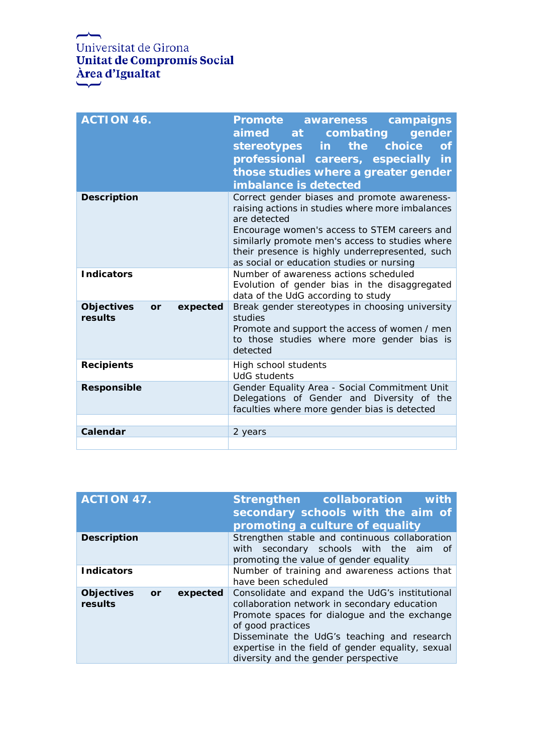| <b>ACTION 46.</b>                              | Promote awareness campaigns<br>aimed at combating<br>gender<br>stereotypes in the choice<br><b>of</b><br>professional careers, especially<br><b>in</b><br>those studies where a greater gender<br>imbalance is detected                                                                                             |  |
|------------------------------------------------|---------------------------------------------------------------------------------------------------------------------------------------------------------------------------------------------------------------------------------------------------------------------------------------------------------------------|--|
| <b>Description</b>                             | Correct gender biases and promote awareness-<br>raising actions in studies where more imbalances<br>are detected<br>Encourage women's access to STEM careers and<br>similarly promote men's access to studies where<br>their presence is highly underrepresented, such<br>as social or education studies or nursing |  |
| <b>Indicators</b>                              | Number of awareness actions scheduled<br>Evolution of gender bias in the disaggregated<br>data of the UdG according to study                                                                                                                                                                                        |  |
| <b>Objectives</b><br>expected<br>or<br>results | Break gender stereotypes in choosing university<br>studies<br>Promote and support the access of women / men<br>to those studies where more gender bias is<br>detected                                                                                                                                               |  |
| <b>Recipients</b>                              | High school students<br><b>UdG</b> students                                                                                                                                                                                                                                                                         |  |
| <b>Responsible</b>                             | Gender Equality Area - Social Commitment Unit<br>Delegations of Gender and Diversity of the<br>faculties where more gender bias is detected                                                                                                                                                                         |  |
|                                                |                                                                                                                                                                                                                                                                                                                     |  |
| Calendar                                       | 2 years                                                                                                                                                                                                                                                                                                             |  |
|                                                |                                                                                                                                                                                                                                                                                                                     |  |

| <b>ACTION 47.</b>                                        | Strengthen collaboration with<br>secondary schools with the aim of<br>promoting a culture of equality                                                                                                                                                                                                           |  |
|----------------------------------------------------------|-----------------------------------------------------------------------------------------------------------------------------------------------------------------------------------------------------------------------------------------------------------------------------------------------------------------|--|
| <b>Description</b>                                       | Strengthen stable and continuous collaboration<br>with secondary schools with the aim of<br>promoting the value of gender equality                                                                                                                                                                              |  |
| <b>Indicators</b>                                        | Number of training and awareness actions that<br>have been scheduled                                                                                                                                                                                                                                            |  |
| <b>Objectives</b><br>expected<br>or <b>or</b><br>results | Consolidate and expand the UdG's institutional<br>collaboration network in secondary education<br>Promote spaces for dialogue and the exchange<br>of good practices<br>Disseminate the UdG's teaching and research<br>expertise in the field of gender equality, sexual<br>diversity and the gender perspective |  |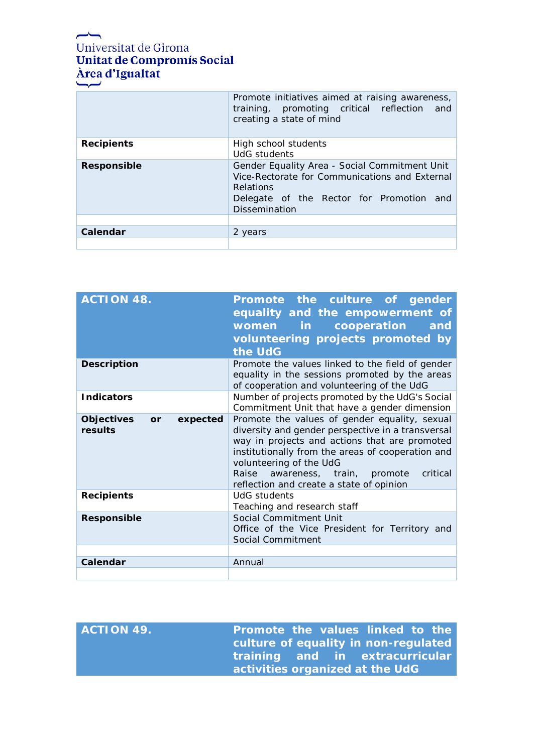|                   | Promote initiatives aimed at raising awareness,<br>training, promoting critical reflection and<br>creating a state of mind                                                |
|-------------------|---------------------------------------------------------------------------------------------------------------------------------------------------------------------------|
| <b>Recipients</b> | High school students<br><b>UdG</b> students                                                                                                                               |
| Responsible       | Gender Equality Area - Social Commitment Unit<br>Vice-Rectorate for Communications and External<br>Relations<br>Delegate of the Rector for Promotion and<br>Dissemination |
|                   |                                                                                                                                                                           |
| Calendar          | 2 years                                                                                                                                                                   |

| <b>ACTION 48.</b>                                     | Promote the culture of gender<br>equality and the empowerment of<br>in cooperation and<br><b>women</b><br>volunteering projects promoted by<br>the UdG                                                                                                                                                                         |
|-------------------------------------------------------|--------------------------------------------------------------------------------------------------------------------------------------------------------------------------------------------------------------------------------------------------------------------------------------------------------------------------------|
| <b>Description</b>                                    | Promote the values linked to the field of gender<br>equality in the sessions promoted by the areas<br>of cooperation and volunteering of the UdG                                                                                                                                                                               |
| <b>Indicators</b>                                     | Number of projects promoted by the UdG's Social<br>Commitment Unit that have a gender dimension                                                                                                                                                                                                                                |
| <b>Objectives</b><br>expected<br><b>or</b><br>results | Promote the values of gender equality, sexual<br>diversity and gender perspective in a transversal<br>way in projects and actions that are promoted<br>institutionally from the areas of cooperation and<br>volunteering of the UdG<br>critical<br>Raise awareness, train, promote<br>reflection and create a state of opinion |
| <b>Recipients</b>                                     | UdG students<br>Teaching and research staff                                                                                                                                                                                                                                                                                    |
| <b>Responsible</b>                                    | Social Commitment Unit<br>Office of the Vice President for Territory and<br>Social Commitment                                                                                                                                                                                                                                  |
|                                                       |                                                                                                                                                                                                                                                                                                                                |
| Calendar                                              | Annual                                                                                                                                                                                                                                                                                                                         |
|                                                       |                                                                                                                                                                                                                                                                                                                                |

| <b>ACTION 49.</b> | Promote the values linked to the<br>culture of equality in non-regulated |
|-------------------|--------------------------------------------------------------------------|
|                   | training and in extracurricular<br>activities organized at the UdG       |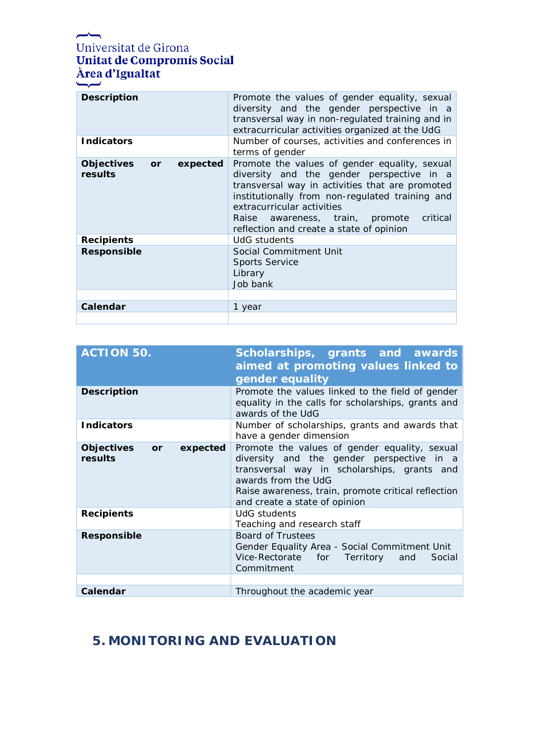| <b>Description</b><br><b>Indicators</b>         | Promote the values of gender equality, sexual<br>diversity and the gender perspective in a<br>transversal way in non-regulated training and in<br>extracurricular activities organized at the UdG<br>Number of courses, activities and conferences in                                                                     |
|-------------------------------------------------|---------------------------------------------------------------------------------------------------------------------------------------------------------------------------------------------------------------------------------------------------------------------------------------------------------------------------|
|                                                 | terms of gender                                                                                                                                                                                                                                                                                                           |
| <b>Objectives</b><br>expected<br>or.<br>results | Promote the values of gender equality, sexual<br>diversity and the gender perspective in a<br>transversal way in activities that are promoted<br>institutionally from non-regulated training and<br>extracurricular activities<br>critical<br>Raise awareness, train, promote<br>reflection and create a state of opinion |
| <b>Recipients</b>                               | UdG students                                                                                                                                                                                                                                                                                                              |
| Responsible                                     | Social Commitment Unit<br><b>Sports Service</b><br>Library<br>Job bank                                                                                                                                                                                                                                                    |
| Calendar                                        |                                                                                                                                                                                                                                                                                                                           |
|                                                 | 1 year                                                                                                                                                                                                                                                                                                                    |

| <b>ACTION 50.</b>                                     | Scholarships, grants and awards<br>aimed at promoting values linked to<br>gender equality                                                                                                                                                                |
|-------------------------------------------------------|----------------------------------------------------------------------------------------------------------------------------------------------------------------------------------------------------------------------------------------------------------|
| <b>Description</b>                                    | Promote the values linked to the field of gender<br>equality in the calls for scholarships, grants and<br>awards of the UdG                                                                                                                              |
| <b>Indicators</b>                                     | Number of scholarships, grants and awards that<br>have a gender dimension                                                                                                                                                                                |
| <b>Objectives</b><br>expected<br><b>or</b><br>results | Promote the values of gender equality, sexual<br>diversity and the gender perspective in a<br>transversal way in scholarships, grants and<br>awards from the UdG<br>Raise awareness, train, promote critical reflection<br>and create a state of opinion |
| <b>Recipients</b>                                     | <b>UdG</b> students<br>Teaching and research staff                                                                                                                                                                                                       |
| <b>Responsible</b>                                    | <b>Board of Trustees</b><br>Gender Equality Area - Social Commitment Unit<br>Vice-Rectorate for Territory and<br>Social<br>Commitment                                                                                                                    |
|                                                       |                                                                                                                                                                                                                                                          |
| Calendar                                              | Throughout the academic year                                                                                                                                                                                                                             |

## **5. MONITORING AND EVALUATION**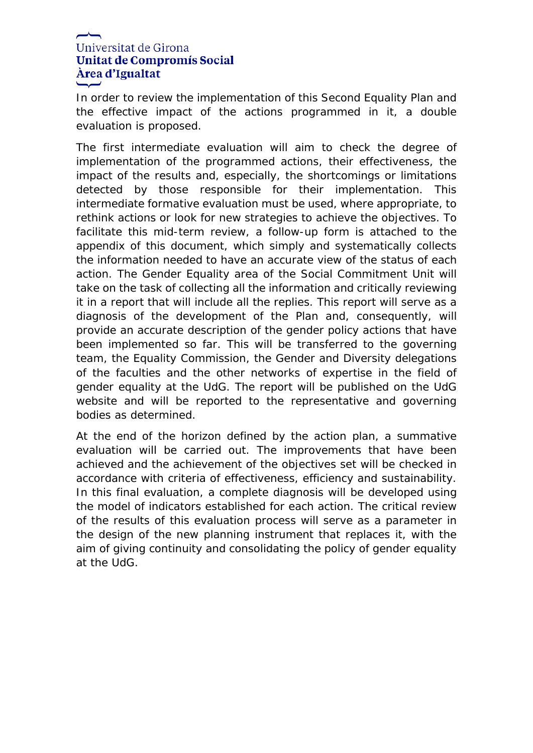In order to review the implementation of this Second Equality Plan and the effective impact of the actions programmed in it, a double evaluation is proposed.

The first intermediate evaluation will aim to check the degree of implementation of the programmed actions, their effectiveness, the impact of the results and, especially, the shortcomings or limitations detected by those responsible for their implementation. This intermediate formative evaluation must be used, where appropriate, to rethink actions or look for new strategies to achieve the objectives. To facilitate this mid-term review, a follow-up form is attached to the appendix of this document, which simply and systematically collects the information needed to have an accurate view of the status of each action. The Gender Equality area of the Social Commitment Unit will take on the task of collecting all the information and critically reviewing it in a report that will include all the replies. This report will serve as a diagnosis of the development of the Plan and, consequently, will provide an accurate description of the gender policy actions that have been implemented so far. This will be transferred to the governing team, the Equality Commission, the Gender and Diversity delegations of the faculties and the other networks of expertise in the field of gender equality at the UdG. The report will be published on the UdG website and will be reported to the representative and governing bodies as determined.

At the end of the horizon defined by the action plan, a summative evaluation will be carried out. The improvements that have been achieved and the achievement of the objectives set will be checked in accordance with criteria of effectiveness, efficiency and sustainability. In this final evaluation, a complete diagnosis will be developed using the model of indicators established for each action. The critical review of the results of this evaluation process will serve as a parameter in the design of the new planning instrument that replaces it, with the aim of giving continuity and consolidating the policy of gender equality at the UdG.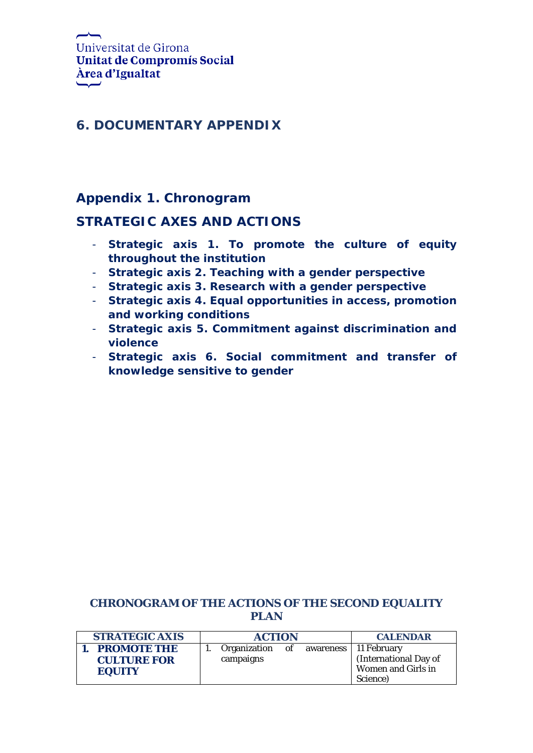### **6. DOCUMENTARY APPENDIX**

#### **Appendix 1. Chronogram**

#### **STRATEGIC AXES AND ACTIONS**

- **Strategic axis 1. To promote the culture of equity throughout the institution**
- **Strategic axis 2. Teaching with a gender perspective**
- **Strategic axis 3. Research with a gender perspective**
- **Strategic axis 4. Equal opportunities in access, promotion and working conditions**
- **Strategic axis 5. Commitment against discrimination and violence**
- **Strategic axis 6. Social commitment and transfer of knowledge sensitive to gender**

#### **CHRONOGRAM OF THE ACTIONS OF THE SECOND EQUALITY PLAN**

| <b>STRATEGIC AXIS</b>                                 | <b>ACTION</b>                                           |  | <b>CALENDAR</b>                                    |
|-------------------------------------------------------|---------------------------------------------------------|--|----------------------------------------------------|
| 1. PROMOTE THE<br><b>CULTURE FOR</b><br><b>EQUITY</b> | 1. Organization of awareness   11 February<br>campaigns |  | (International Day of<br><b>Women and Girls in</b> |
|                                                       |                                                         |  | Science)                                           |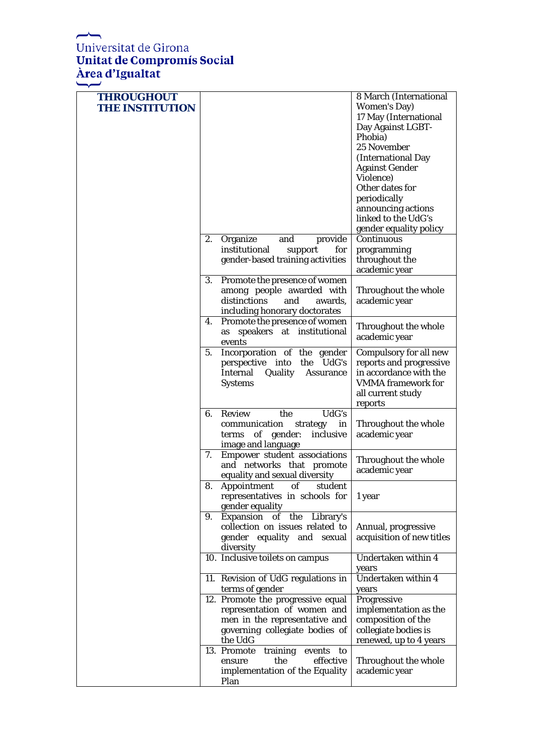∽

| <b>THROUGHOUT</b>      |                                                                      | 8 March (International                           |
|------------------------|----------------------------------------------------------------------|--------------------------------------------------|
| <b>THE INSTITUTION</b> |                                                                      | <b>Women's Day)</b>                              |
|                        |                                                                      | 17 May (International                            |
|                        |                                                                      | Day Against LGBT-                                |
|                        |                                                                      | Phobia)<br>25 November                           |
|                        |                                                                      | (International Day                               |
|                        |                                                                      | <b>Against Gender</b>                            |
|                        |                                                                      | Violence)                                        |
|                        |                                                                      | Other dates for                                  |
|                        |                                                                      | periodically                                     |
|                        |                                                                      | announcing actions                               |
|                        |                                                                      | linked to the UdG's<br>gender equality policy    |
|                        | 2.<br>provide<br>Organize<br>and                                     | Continuous                                       |
|                        | institutional<br>for<br>support                                      | programming                                      |
|                        | gender-based training activities                                     | throughout the                                   |
|                        |                                                                      | academic year                                    |
|                        | 3.<br>Promote the presence of women                                  |                                                  |
|                        | among people awarded with                                            | Throughout the whole                             |
|                        | distinctions<br>and<br>awards.                                       | academic year                                    |
|                        | including honorary doctorates<br>Promote the presence of women<br>4. |                                                  |
|                        | speakers at institutional<br>as                                      | Throughout the whole                             |
|                        | events                                                               | academic year                                    |
|                        | Incorporation of the gender<br>5.                                    | Compulsory for all new                           |
|                        | perspective into<br>the UdG's                                        | reports and progressive                          |
|                        | <b>Internal</b><br>Quality<br><b>Assurance</b>                       | in accordance with the                           |
|                        | <b>Systems</b>                                                       | <b>VMMA</b> framework for<br>all current study   |
|                        |                                                                      | reports                                          |
|                        | Review<br>UdG's<br>the<br>6.                                         |                                                  |
|                        | communication<br>strategy<br>in                                      | Throughout the whole                             |
|                        | of gender:<br>terms<br>inclusive                                     | academic year                                    |
|                        | image and language                                                   |                                                  |
|                        | Empower student associations<br>7.<br>and networks that promote      | Throughout the whole                             |
|                        | equality and sexual diversity                                        | academic year                                    |
|                        | 8.<br>of<br>Appointment<br>student                                   |                                                  |
|                        | representatives in schools for                                       | 1 year                                           |
|                        | gender equality                                                      |                                                  |
|                        | Expansion of the Library's<br>9.<br>collection on issues related to  |                                                  |
|                        | gender equality and sexual                                           | Annual, progressive<br>acquisition of new titles |
|                        | diversity                                                            |                                                  |
|                        | 10. Inclusive toilets on campus                                      | Undertaken within 4                              |
|                        |                                                                      | years                                            |
|                        | 11. Revision of UdG regulations in                                   | Undertaken within 4                              |
|                        | terms of gender                                                      | years                                            |
|                        | 12. Promote the progressive equal<br>representation of women and     | Progressive                                      |
|                        | men in the representative and                                        | implementation as the<br>composition of the      |
|                        | governing collegiate bodies of                                       | collegiate bodies is                             |
|                        | the UdG                                                              | renewed, up to 4 years                           |
|                        | 13. Promote training<br>events<br>to                                 |                                                  |
|                        | effective<br>the<br>ensure                                           | Throughout the whole                             |
|                        | implementation of the Equality                                       | academic year                                    |
|                        | Plan                                                                 |                                                  |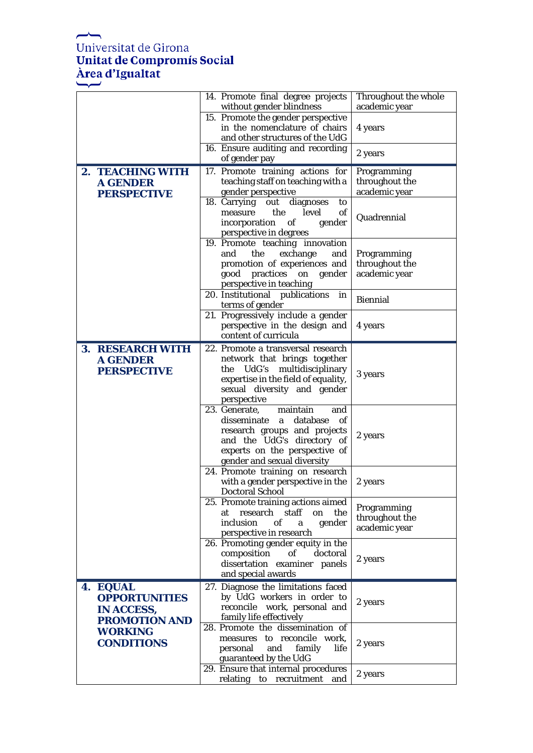|                      | 14. Promote final degree projects                     | Throughout the whole          |
|----------------------|-------------------------------------------------------|-------------------------------|
|                      | without gender blindness                              | academic year                 |
|                      | 15. Promote the gender perspective                    |                               |
|                      | in the nomenclature of chairs                         | 4 years                       |
|                      | and other structures of the UdG                       |                               |
|                      | 16. Ensure auditing and recording                     | 2 years                       |
|                      | of gender pay                                         |                               |
| 2. TEACHING WITH     | 17. Promote training actions for                      | Programming                   |
| <b>A GENDER</b>      | teaching staff on teaching with a                     | throughout the                |
| <b>PERSPECTIVE</b>   | gender perspective                                    | academic year                 |
|                      | 18. Carrying<br>diagnoses<br>out<br>to                |                               |
|                      | the<br>of<br>level<br>measure                         | Quadrennial                   |
|                      | incorporation<br>of<br>gender                         |                               |
|                      | perspective in degrees                                |                               |
|                      | 19. Promote teaching innovation                       |                               |
|                      | exchange<br>and<br>the<br>and                         | Programming                   |
|                      | promotion of experiences and                          | throughout the                |
|                      | practices<br>good<br>on gender                        | academic year                 |
|                      | perspective in teaching                               |                               |
|                      | 20. Institutional publications in<br>terms of gender  | <b>Biennial</b>               |
|                      |                                                       |                               |
|                      | 21. Progressively include a gender                    |                               |
|                      | perspective in the design and<br>content of curricula | 4 years                       |
|                      |                                                       |                               |
| 3. RESEARCH WITH     | 22. Promote a transversal research                    |                               |
| <b>A GENDER</b>      | network that brings together                          |                               |
| <b>PERSPECTIVE</b>   | UdG's multidisciplinary<br>the                        | 3 years                       |
|                      | expertise in the field of equality,                   |                               |
|                      | sexual diversity and gender<br>perspective            |                               |
|                      | 23. Generate,<br>maintain<br>and                      |                               |
|                      | disseminate<br>database<br><sub>of</sub><br>a.        |                               |
|                      | research groups and projects                          |                               |
|                      | and the UdG's directory of                            | 2 years                       |
|                      | experts on the perspective of                         |                               |
|                      | gender and sexual diversity                           |                               |
|                      | 24. Promote training on research                      |                               |
|                      | with a gender perspective in the                      | 2 years                       |
|                      | <b>Doctoral School</b>                                |                               |
|                      | 25. Promote training actions aimed                    |                               |
|                      | research staff<br>on<br>the<br>at                     | Programming<br>throughout the |
|                      | inclusion<br>gender<br>оf<br>a                        | academic year                 |
|                      | perspective in research                               |                               |
|                      | 26. Promoting gender equity in the                    |                               |
|                      | composition<br>doctoral<br><sub>of</sub>              | 2 years                       |
|                      | dissertation examiner panels                          |                               |
|                      | and special awards                                    |                               |
| 4. EQUAL             | 27. Diagnose the limitations faced                    |                               |
| <b>OPPORTUNITIES</b> | by UdG workers in order to                            | 2 years                       |
| <b>IN ACCESS,</b>    | reconcile work, personal and                          |                               |
| <b>PROMOTION AND</b> | family life effectively                               |                               |
| <b>WORKING</b>       | 28. Promote the dissemination of                      |                               |
| <b>CONDITIONS</b>    | measures to reconcile work,                           | 2 years                       |
|                      | and<br>family<br>life<br>personal                     |                               |
|                      | guaranteed by the UdG                                 |                               |
|                      | 29. Ensure that internal procedures                   | 2 years                       |
|                      | relating to recruitment and                           |                               |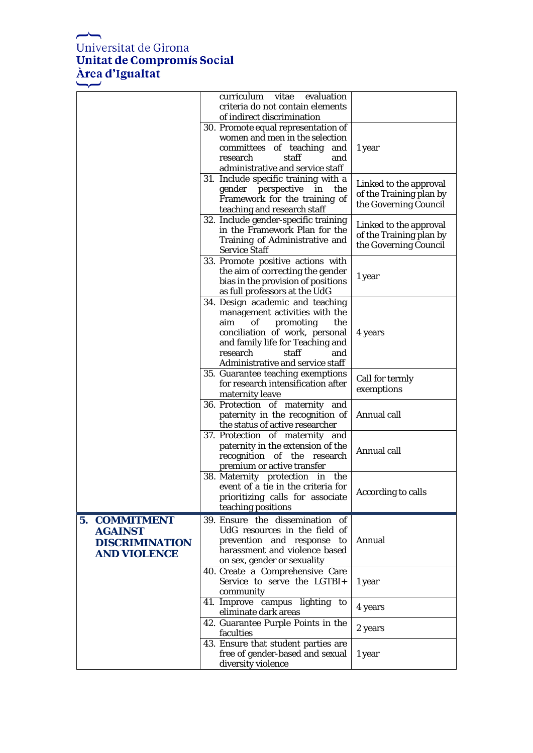∽

|                       | curriculum vitae<br>evaluation       |                         |
|-----------------------|--------------------------------------|-------------------------|
|                       | criteria do not contain elements     |                         |
|                       | of indirect discrimination           |                         |
|                       |                                      |                         |
|                       | 30. Promote equal representation of  |                         |
|                       | women and men in the selection       |                         |
|                       | committees of teaching and           | 1 year                  |
|                       | staff<br>research<br>and             |                         |
|                       | administrative and service staff     |                         |
|                       | 31. Include specific training with a | Linked to the approval  |
|                       | gender perspective<br>in<br>the      | of the Training plan by |
|                       | Framework for the training of        | the Governing Council   |
|                       | teaching and research staff          |                         |
|                       | 32. Include gender-specific training | Linked to the approval  |
|                       | in the Framework Plan for the        |                         |
|                       | Training of Administrative and       | of the Training plan by |
|                       | <b>Service Staff</b>                 | the Governing Council   |
|                       | 33. Promote positive actions with    |                         |
|                       | the aim of correcting the gender     |                         |
|                       | bias in the provision of positions   | 1 year                  |
|                       | as full professors at the UdG        |                         |
|                       | 34. Design academic and teaching     |                         |
|                       | management activities with the       |                         |
|                       | of<br>aim<br>promoting<br>the        |                         |
|                       | conciliation of work, personal       | 4 years                 |
|                       | and family life for Teaching and     |                         |
|                       | research<br>staff<br>and             |                         |
|                       | Administrative and service staff     |                         |
|                       |                                      |                         |
|                       | 35. Guarantee teaching exemptions    | Call for termly         |
|                       | for research intensification after   | exemptions              |
|                       | maternity leave                      |                         |
|                       | 36. Protection of maternity and      |                         |
|                       | paternity in the recognition of      | Annual call             |
|                       | the status of active researcher      |                         |
|                       | 37. Protection of maternity and      |                         |
|                       | paternity in the extension of the    | Annual call             |
|                       | recognition of the research          |                         |
|                       | premium or active transfer           |                         |
|                       | 38. Maternity protection in the      |                         |
|                       | event of a tie in the criteria for   | According to calls      |
|                       | prioritizing calls for associate     |                         |
|                       | teaching positions                   |                         |
| 5. COMMITMENT         | 39. Ensure the dissemination of      |                         |
| <b>AGAINST</b>        | UdG resources in the field of        |                         |
| <b>DISCRIMINATION</b> | prevention and response to           | Annual                  |
| <b>AND VIOLENCE</b>   | harassment and violence based        |                         |
|                       | on sex, gender or sexuality          |                         |
|                       | 40. Create a Comprehensive Care      |                         |
|                       | Service to serve the LGTBI+          | 1 year                  |
|                       | community                            |                         |
|                       | 41. Improve campus lighting to       |                         |
|                       | eliminate dark areas                 | 4 years                 |
|                       | 42. Guarantee Purple Points in the   |                         |
|                       | faculties                            | 2 years                 |
|                       | 43. Ensure that student parties are  |                         |
|                       | free of gender-based and sexual      | 1 year                  |
|                       | diversity violence                   |                         |
|                       |                                      |                         |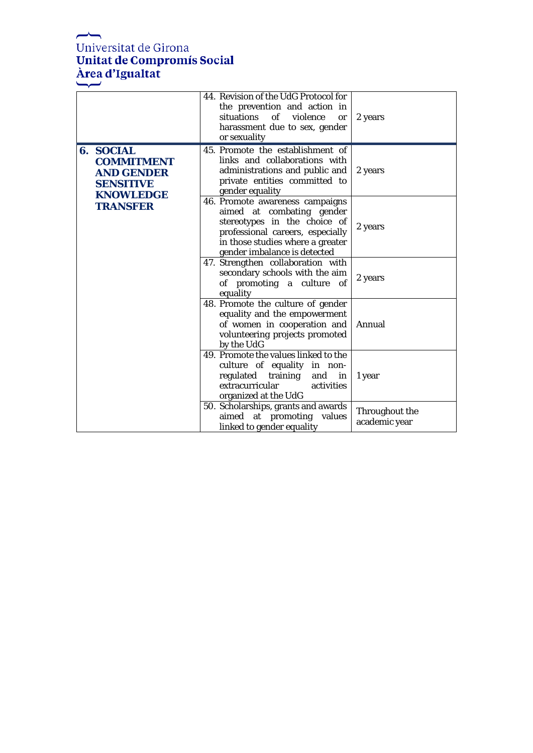|                                                                                             | 44. Revision of the UdG Protocol for<br>the prevention and action in<br>situations<br>of<br>violence<br>or<br>harassment due to sex, gender<br>or sexuality                                          | 2 years                         |
|---------------------------------------------------------------------------------------------|------------------------------------------------------------------------------------------------------------------------------------------------------------------------------------------------------|---------------------------------|
| 6. SOCIAL<br><b>COMMITMENT</b><br><b>AND GENDER</b><br><b>SENSITIVE</b><br><b>KNOWLEDGE</b> | 45. Promote the establishment of<br>links and collaborations with<br>administrations and public and<br>private entities committed to<br>gender equality                                              | 2 years                         |
| <b>TRANSFER</b>                                                                             | 46. Promote awareness campaigns<br>aimed at combating gender<br>stereotypes in the choice of<br>professional careers, especially<br>in those studies where a greater<br>gender imbalance is detected | 2 years                         |
|                                                                                             | 47. Strengthen collaboration with<br>secondary schools with the aim<br>of promoting a culture of<br>equality                                                                                         | 2 years                         |
|                                                                                             | 48. Promote the culture of gender<br>equality and the empowerment<br>of women in cooperation and<br>volunteering projects promoted<br>by the UdG                                                     | Annual                          |
|                                                                                             | 49. Promote the values linked to the<br>culture of equality in non-<br>regulated training<br>and<br>in<br>extracurricular<br>activities<br>organized at the UdG                                      | 1 year                          |
|                                                                                             | 50. Scholarships, grants and awards<br>aimed at promoting values<br>linked to gender equality                                                                                                        | Throughout the<br>academic year |